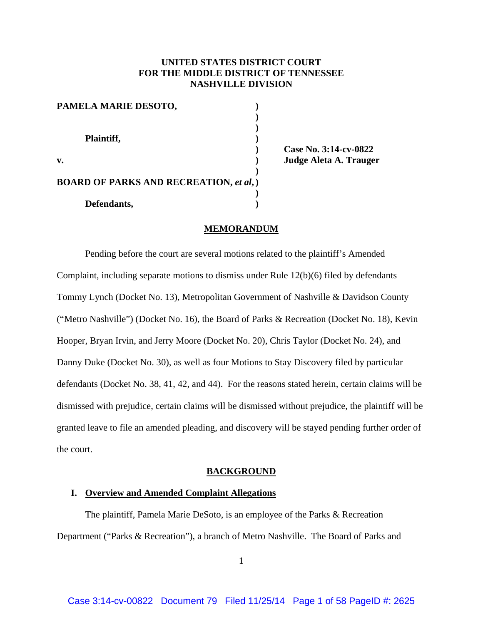# **UNITED STATES DISTRICT COURT FOR THE MIDDLE DISTRICT OF TENNESSEE NASHVILLE DIVISION**

| PAMELA MARIE DESOTO,                          |  |
|-----------------------------------------------|--|
| Plaintiff,                                    |  |
| v.                                            |  |
| <b>BOARD OF PARKS AND RECREATION, et al,)</b> |  |
| Defendants,                                   |  |

 **) Case No. 3:14-cv-0822 v. ) Judge Aleta A. Trauger** 

### **MEMORANDUM**

 Pending before the court are several motions related to the plaintiff's Amended Complaint, including separate motions to dismiss under Rule 12(b)(6) filed by defendants Tommy Lynch (Docket No. 13), Metropolitan Government of Nashville & Davidson County ("Metro Nashville") (Docket No. 16), the Board of Parks & Recreation (Docket No. 18), Kevin Hooper, Bryan Irvin, and Jerry Moore (Docket No. 20), Chris Taylor (Docket No. 24), and Danny Duke (Docket No. 30), as well as four Motions to Stay Discovery filed by particular defendants (Docket No. 38, 41, 42, and 44). For the reasons stated herein, certain claims will be dismissed with prejudice, certain claims will be dismissed without prejudice, the plaintiff will be granted leave to file an amended pleading, and discovery will be stayed pending further order of the court.

# **BACKGROUND**

#### **I. Overview and Amended Complaint Allegations**

 The plaintiff, Pamela Marie DeSoto, is an employee of the Parks & Recreation Department ("Parks & Recreation"), a branch of Metro Nashville. The Board of Parks and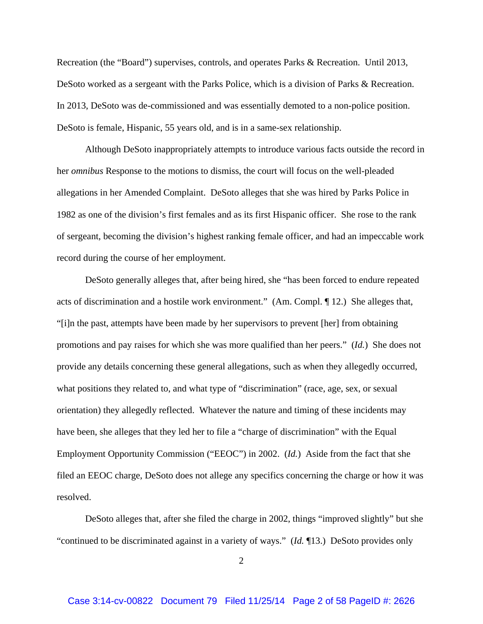Recreation (the "Board") supervises, controls, and operates Parks & Recreation. Until 2013, DeSoto worked as a sergeant with the Parks Police, which is a division of Parks & Recreation. In 2013, DeSoto was de-commissioned and was essentially demoted to a non-police position. DeSoto is female, Hispanic, 55 years old, and is in a same-sex relationship.

 Although DeSoto inappropriately attempts to introduce various facts outside the record in her *omnibus* Response to the motions to dismiss, the court will focus on the well-pleaded allegations in her Amended Complaint. DeSoto alleges that she was hired by Parks Police in 1982 as one of the division's first females and as its first Hispanic officer. She rose to the rank of sergeant, becoming the division's highest ranking female officer, and had an impeccable work record during the course of her employment.

DeSoto generally alleges that, after being hired, she "has been forced to endure repeated acts of discrimination and a hostile work environment." (Am. Compl. ¶ 12.) She alleges that, "[i]n the past, attempts have been made by her supervisors to prevent [her] from obtaining promotions and pay raises for which she was more qualified than her peers." (*Id.*) She does not provide any details concerning these general allegations, such as when they allegedly occurred, what positions they related to, and what type of "discrimination" (race, age, sex, or sexual orientation) they allegedly reflected. Whatever the nature and timing of these incidents may have been, she alleges that they led her to file a "charge of discrimination" with the Equal Employment Opportunity Commission ("EEOC") in 2002. (*Id.*) Aside from the fact that she filed an EEOC charge, DeSoto does not allege any specifics concerning the charge or how it was resolved.

 DeSoto alleges that, after she filed the charge in 2002, things "improved slightly" but she "continued to be discriminated against in a variety of ways." (*Id.* ¶13.) DeSoto provides only

 $\mathcal{L}$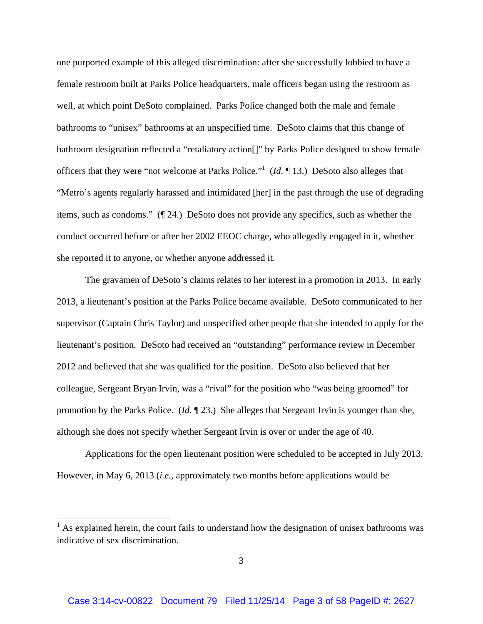one purported example of this alleged discrimination: after she successfully lobbied to have a female restroom built at Parks Police headquarters, male officers began using the restroom as well, at which point DeSoto complained. Parks Police changed both the male and female bathrooms to "unisex" bathrooms at an unspecified time. DeSoto claims that this change of bathroom designation reflected a "retaliatory action[]" by Parks Police designed to show female officers that they were "not welcome at Parks Police."1 (*Id.* ¶ 13.) DeSoto also alleges that "Metro's agents regularly harassed and intimidated [her] in the past through the use of degrading items, such as condoms." (¶ 24.) DeSoto does not provide any specifics, such as whether the conduct occurred before or after her 2002 EEOC charge, who allegedly engaged in it, whether she reported it to anyone, or whether anyone addressed it.

 The gravamen of DeSoto's claims relates to her interest in a promotion in 2013. In early 2013, a lieutenant's position at the Parks Police became available. DeSoto communicated to her supervisor (Captain Chris Taylor) and unspecified other people that she intended to apply for the lieutenant's position. DeSoto had received an "outstanding" performance review in December 2012 and believed that she was qualified for the position. DeSoto also believed that her colleague, Sergeant Bryan Irvin, was a "rival" for the position who "was being groomed" for promotion by the Parks Police. (*Id.* ¶ 23.) She alleges that Sergeant Irvin is younger than she, although she does not specify whether Sergeant Irvin is over or under the age of 40.

Applications for the open lieutenant position were scheduled to be accepted in July 2013. However, in May 6, 2013 (*i.e.*, approximately two months before applications would be

<sup>&</sup>lt;sup>1</sup> As explained herein, the court fails to understand how the designation of unisex bathrooms was indicative of sex discrimination.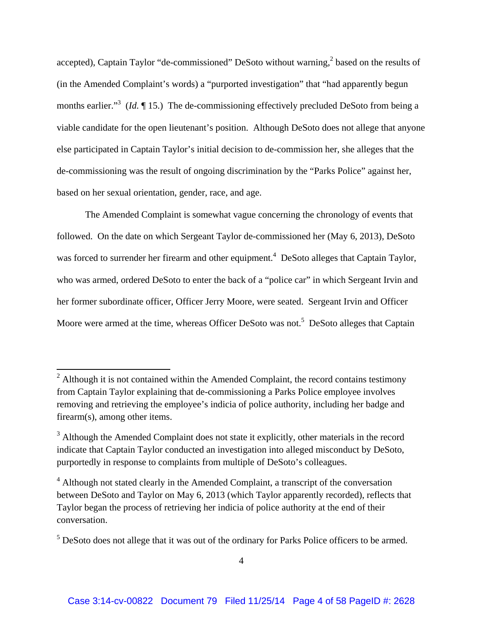accepted), Captain Taylor "de-commissioned" DeSoto without warning,<sup>2</sup> based on the results of (in the Amended Complaint's words) a "purported investigation" that "had apparently begun months earlier.<sup>3</sup> (*Id.* 15.) The de-commissioning effectively precluded DeSoto from being a viable candidate for the open lieutenant's position. Although DeSoto does not allege that anyone else participated in Captain Taylor's initial decision to de-commission her, she alleges that the de-commissioning was the result of ongoing discrimination by the "Parks Police" against her, based on her sexual orientation, gender, race, and age.

The Amended Complaint is somewhat vague concerning the chronology of events that followed. On the date on which Sergeant Taylor de-commissioned her (May 6, 2013), DeSoto was forced to surrender her firearm and other equipment.<sup>4</sup> DeSoto alleges that Captain Taylor, who was armed, ordered DeSoto to enter the back of a "police car" in which Sergeant Irvin and her former subordinate officer, Officer Jerry Moore, were seated. Sergeant Irvin and Officer Moore were armed at the time, whereas Officer DeSoto was not.<sup>5</sup> DeSoto alleges that Captain

<sup>&</sup>lt;sup>2</sup> Although it is not contained within the Amended Complaint, the record contains testimony from Captain Taylor explaining that de-commissioning a Parks Police employee involves removing and retrieving the employee's indicia of police authority, including her badge and firearm(s), among other items.

 $3$  Although the Amended Complaint does not state it explicitly, other materials in the record indicate that Captain Taylor conducted an investigation into alleged misconduct by DeSoto, purportedly in response to complaints from multiple of DeSoto's colleagues.

<sup>&</sup>lt;sup>4</sup> Although not stated clearly in the Amended Complaint, a transcript of the conversation between DeSoto and Taylor on May 6, 2013 (which Taylor apparently recorded), reflects that Taylor began the process of retrieving her indicia of police authority at the end of their conversation.

 $<sup>5</sup>$  DeSoto does not allege that it was out of the ordinary for Parks Police officers to be armed.</sup>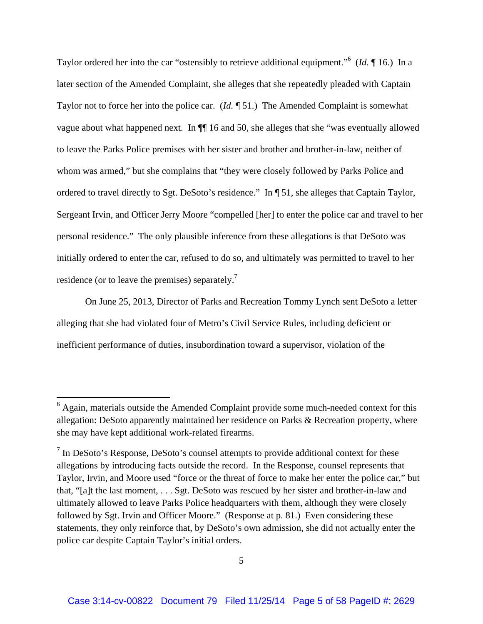Taylor ordered her into the car "ostensibly to retrieve additional equipment."6 (*Id.* ¶ 16.) In a later section of the Amended Complaint, she alleges that she repeatedly pleaded with Captain Taylor not to force her into the police car. (*Id.* ¶ 51.) The Amended Complaint is somewhat vague about what happened next. In ¶¶ 16 and 50, she alleges that she "was eventually allowed to leave the Parks Police premises with her sister and brother and brother-in-law, neither of whom was armed," but she complains that "they were closely followed by Parks Police and ordered to travel directly to Sgt. DeSoto's residence." In ¶ 51, she alleges that Captain Taylor, Sergeant Irvin, and Officer Jerry Moore "compelled [her] to enter the police car and travel to her personal residence." The only plausible inference from these allegations is that DeSoto was initially ordered to enter the car, refused to do so, and ultimately was permitted to travel to her residence (or to leave the premises) separately.7

On June 25, 2013, Director of Parks and Recreation Tommy Lynch sent DeSoto a letter alleging that she had violated four of Metro's Civil Service Rules, including deficient or inefficient performance of duties, insubordination toward a supervisor, violation of the

<sup>&</sup>lt;sup>6</sup> Again, materials outside the Amended Complaint provide some much-needed context for this allegation: DeSoto apparently maintained her residence on Parks & Recreation property, where she may have kept additional work-related firearms.

 $<sup>7</sup>$  In DeSoto's Response, DeSoto's counsel attempts to provide additional context for these</sup> allegations by introducing facts outside the record. In the Response, counsel represents that Taylor, Irvin, and Moore used "force or the threat of force to make her enter the police car," but that, "[a]t the last moment, . . . Sgt. DeSoto was rescued by her sister and brother-in-law and ultimately allowed to leave Parks Police headquarters with them, although they were closely followed by Sgt. Irvin and Officer Moore." (Response at p. 81.) Even considering these statements, they only reinforce that, by DeSoto's own admission, she did not actually enter the police car despite Captain Taylor's initial orders.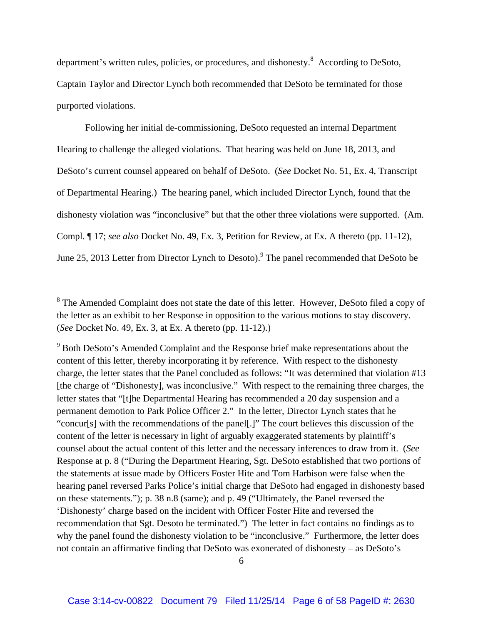department's written rules, policies, or procedures, and dishonesty.<sup>8</sup> According to DeSoto, Captain Taylor and Director Lynch both recommended that DeSoto be terminated for those purported violations.

 Following her initial de-commissioning, DeSoto requested an internal Department Hearing to challenge the alleged violations. That hearing was held on June 18, 2013, and DeSoto's current counsel appeared on behalf of DeSoto. (*See* Docket No. 51, Ex. 4, Transcript of Departmental Hearing.) The hearing panel, which included Director Lynch, found that the dishonesty violation was "inconclusive" but that the other three violations were supported. (Am. Compl. ¶ 17; *see also* Docket No. 49, Ex. 3, Petition for Review, at Ex. A thereto (pp. 11-12), June 25, 2013 Letter from Director Lynch to Desoto). <sup>9</sup> The panel recommended that DeSoto be

<sup>&</sup>lt;sup>8</sup> The Amended Complaint does not state the date of this letter. However, DeSoto filed a copy of the letter as an exhibit to her Response in opposition to the various motions to stay discovery. (*See* Docket No. 49, Ex. 3, at Ex. A thereto (pp. 11-12).)

<sup>&</sup>lt;sup>9</sup> Both DeSoto's Amended Complaint and the Response brief make representations about the content of this letter, thereby incorporating it by reference. With respect to the dishonesty charge, the letter states that the Panel concluded as follows: "It was determined that violation #13 [the charge of "Dishonesty], was inconclusive." With respect to the remaining three charges, the letter states that "[t]he Departmental Hearing has recommended a 20 day suspension and a permanent demotion to Park Police Officer 2." In the letter, Director Lynch states that he "concur[s] with the recommendations of the panel[.]" The court believes this discussion of the content of the letter is necessary in light of arguably exaggerated statements by plaintiff's counsel about the actual content of this letter and the necessary inferences to draw from it. (*See*  Response at p. 8 ("During the Department Hearing, Sgt. DeSoto established that two portions of the statements at issue made by Officers Foster Hite and Tom Harbison were false when the hearing panel reversed Parks Police's initial charge that DeSoto had engaged in dishonesty based on these statements."); p. 38 n.8 (same); and p. 49 ("Ultimately, the Panel reversed the 'Dishonesty' charge based on the incident with Officer Foster Hite and reversed the recommendation that Sgt. Desoto be terminated.") The letter in fact contains no findings as to why the panel found the dishonesty violation to be "inconclusive." Furthermore, the letter does not contain an affirmative finding that DeSoto was exonerated of dishonesty – as DeSoto's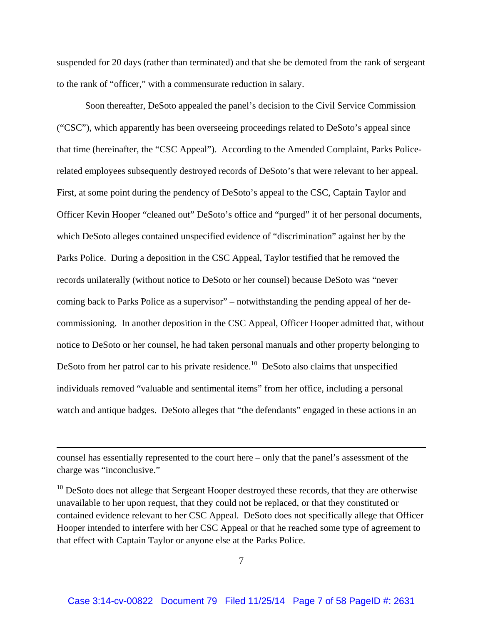suspended for 20 days (rather than terminated) and that she be demoted from the rank of sergeant to the rank of "officer," with a commensurate reduction in salary.

 Soon thereafter, DeSoto appealed the panel's decision to the Civil Service Commission ("CSC"), which apparently has been overseeing proceedings related to DeSoto's appeal since that time (hereinafter, the "CSC Appeal"). According to the Amended Complaint, Parks Policerelated employees subsequently destroyed records of DeSoto's that were relevant to her appeal. First, at some point during the pendency of DeSoto's appeal to the CSC, Captain Taylor and Officer Kevin Hooper "cleaned out" DeSoto's office and "purged" it of her personal documents, which DeSoto alleges contained unspecified evidence of "discrimination" against her by the Parks Police. During a deposition in the CSC Appeal, Taylor testified that he removed the records unilaterally (without notice to DeSoto or her counsel) because DeSoto was "never coming back to Parks Police as a supervisor" – notwithstanding the pending appeal of her decommissioning. In another deposition in the CSC Appeal, Officer Hooper admitted that, without notice to DeSoto or her counsel, he had taken personal manuals and other property belonging to DeSoto from her patrol car to his private residence.<sup>10</sup> DeSoto also claims that unspecified individuals removed "valuable and sentimental items" from her office, including a personal watch and antique badges. DeSoto alleges that "the defendants" engaged in these actions in an

counsel has essentially represented to the court here – only that the panel's assessment of the charge was "inconclusive."

<u> 1989 - Johann Stein, marwolaethau a gweledydd a ganlad y ganlad y ganlad y ganlad y ganlad y ganlad y ganlad</u>

 $10$  DeSoto does not allege that Sergeant Hooper destroyed these records, that they are otherwise unavailable to her upon request, that they could not be replaced, or that they constituted or contained evidence relevant to her CSC Appeal. DeSoto does not specifically allege that Officer Hooper intended to interfere with her CSC Appeal or that he reached some type of agreement to that effect with Captain Taylor or anyone else at the Parks Police.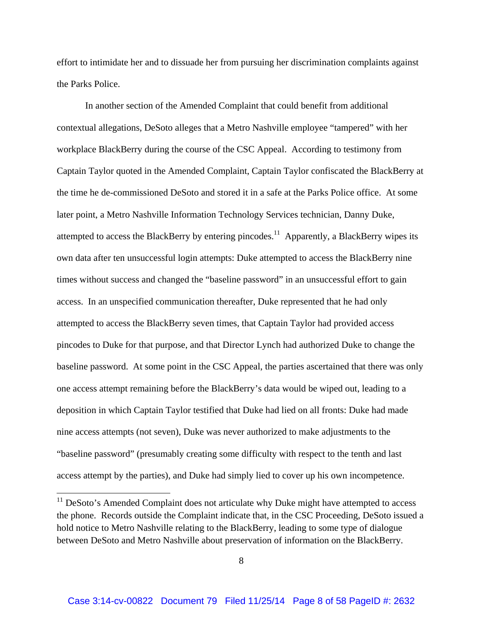effort to intimidate her and to dissuade her from pursuing her discrimination complaints against the Parks Police.

 In another section of the Amended Complaint that could benefit from additional contextual allegations, DeSoto alleges that a Metro Nashville employee "tampered" with her workplace BlackBerry during the course of the CSC Appeal. According to testimony from Captain Taylor quoted in the Amended Complaint, Captain Taylor confiscated the BlackBerry at the time he de-commissioned DeSoto and stored it in a safe at the Parks Police office. At some later point, a Metro Nashville Information Technology Services technician, Danny Duke, attempted to access the BlackBerry by entering pincodes.<sup>11</sup> Apparently, a BlackBerry wipes its own data after ten unsuccessful login attempts: Duke attempted to access the BlackBerry nine times without success and changed the "baseline password" in an unsuccessful effort to gain access. In an unspecified communication thereafter, Duke represented that he had only attempted to access the BlackBerry seven times, that Captain Taylor had provided access pincodes to Duke for that purpose, and that Director Lynch had authorized Duke to change the baseline password. At some point in the CSC Appeal, the parties ascertained that there was only one access attempt remaining before the BlackBerry's data would be wiped out, leading to a deposition in which Captain Taylor testified that Duke had lied on all fronts: Duke had made nine access attempts (not seven), Duke was never authorized to make adjustments to the "baseline password" (presumably creating some difficulty with respect to the tenth and last access attempt by the parties), and Duke had simply lied to cover up his own incompetence.

 $11$  DeSoto's Amended Complaint does not articulate why Duke might have attempted to access the phone. Records outside the Complaint indicate that, in the CSC Proceeding, DeSoto issued a hold notice to Metro Nashville relating to the BlackBerry, leading to some type of dialogue between DeSoto and Metro Nashville about preservation of information on the BlackBerry.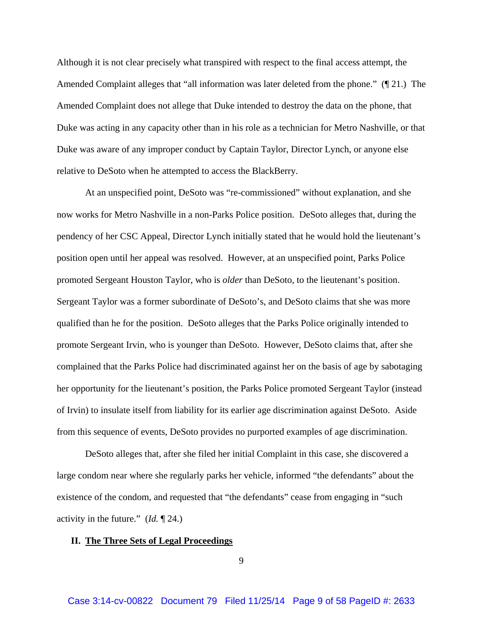Although it is not clear precisely what transpired with respect to the final access attempt, the Amended Complaint alleges that "all information was later deleted from the phone." (¶ 21.) The Amended Complaint does not allege that Duke intended to destroy the data on the phone, that Duke was acting in any capacity other than in his role as a technician for Metro Nashville, or that Duke was aware of any improper conduct by Captain Taylor, Director Lynch, or anyone else relative to DeSoto when he attempted to access the BlackBerry.

 At an unspecified point, DeSoto was "re-commissioned" without explanation, and she now works for Metro Nashville in a non-Parks Police position. DeSoto alleges that, during the pendency of her CSC Appeal, Director Lynch initially stated that he would hold the lieutenant's position open until her appeal was resolved. However, at an unspecified point, Parks Police promoted Sergeant Houston Taylor, who is *older* than DeSoto, to the lieutenant's position. Sergeant Taylor was a former subordinate of DeSoto's, and DeSoto claims that she was more qualified than he for the position. DeSoto alleges that the Parks Police originally intended to promote Sergeant Irvin, who is younger than DeSoto. However, DeSoto claims that, after she complained that the Parks Police had discriminated against her on the basis of age by sabotaging her opportunity for the lieutenant's position, the Parks Police promoted Sergeant Taylor (instead of Irvin) to insulate itself from liability for its earlier age discrimination against DeSoto. Aside from this sequence of events, DeSoto provides no purported examples of age discrimination.

DeSoto alleges that, after she filed her initial Complaint in this case, she discovered a large condom near where she regularly parks her vehicle, informed "the defendants" about the existence of the condom, and requested that "the defendants" cease from engaging in "such activity in the future." (*Id.* ¶ 24.)

#### **II. The Three Sets of Legal Proceedings**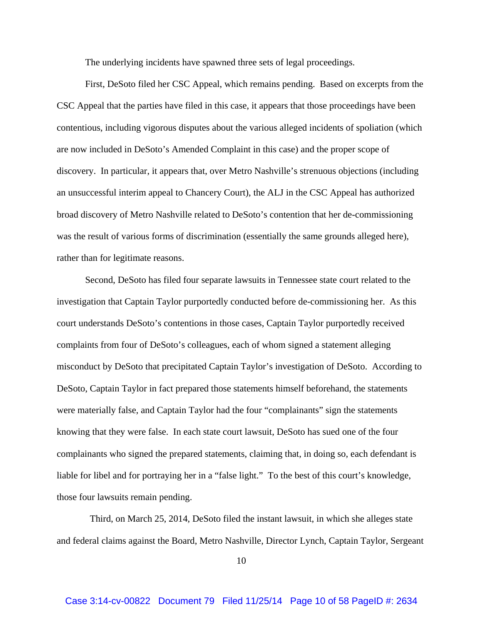The underlying incidents have spawned three sets of legal proceedings.

First, DeSoto filed her CSC Appeal, which remains pending. Based on excerpts from the CSC Appeal that the parties have filed in this case, it appears that those proceedings have been contentious, including vigorous disputes about the various alleged incidents of spoliation (which are now included in DeSoto's Amended Complaint in this case) and the proper scope of discovery. In particular, it appears that, over Metro Nashville's strenuous objections (including an unsuccessful interim appeal to Chancery Court), the ALJ in the CSC Appeal has authorized broad discovery of Metro Nashville related to DeSoto's contention that her de-commissioning was the result of various forms of discrimination (essentially the same grounds alleged here), rather than for legitimate reasons.

Second, DeSoto has filed four separate lawsuits in Tennessee state court related to the investigation that Captain Taylor purportedly conducted before de-commissioning her. As this court understands DeSoto's contentions in those cases, Captain Taylor purportedly received complaints from four of DeSoto's colleagues, each of whom signed a statement alleging misconduct by DeSoto that precipitated Captain Taylor's investigation of DeSoto. According to DeSoto, Captain Taylor in fact prepared those statements himself beforehand, the statements were materially false, and Captain Taylor had the four "complainants" sign the statements knowing that they were false. In each state court lawsuit, DeSoto has sued one of the four complainants who signed the prepared statements, claiming that, in doing so, each defendant is liable for libel and for portraying her in a "false light." To the best of this court's knowledge, those four lawsuits remain pending.

 Third, on March 25, 2014, DeSoto filed the instant lawsuit, in which she alleges state and federal claims against the Board, Metro Nashville, Director Lynch, Captain Taylor, Sergeant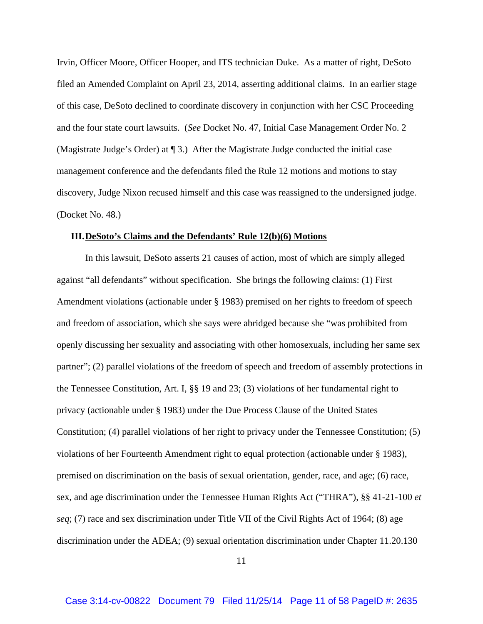Irvin, Officer Moore, Officer Hooper, and ITS technician Duke. As a matter of right, DeSoto filed an Amended Complaint on April 23, 2014, asserting additional claims. In an earlier stage of this case, DeSoto declined to coordinate discovery in conjunction with her CSC Proceeding and the four state court lawsuits. (*See* Docket No. 47, Initial Case Management Order No. 2 (Magistrate Judge's Order) at ¶ 3.) After the Magistrate Judge conducted the initial case management conference and the defendants filed the Rule 12 motions and motions to stay discovery, Judge Nixon recused himself and this case was reassigned to the undersigned judge. (Docket No. 48.)

#### **III.DeSoto's Claims and the Defendants' Rule 12(b)(6) Motions**

 In this lawsuit, DeSoto asserts 21 causes of action, most of which are simply alleged against "all defendants" without specification. She brings the following claims: (1) First Amendment violations (actionable under § 1983) premised on her rights to freedom of speech and freedom of association, which she says were abridged because she "was prohibited from openly discussing her sexuality and associating with other homosexuals, including her same sex partner"; (2) parallel violations of the freedom of speech and freedom of assembly protections in the Tennessee Constitution, Art. I, §§ 19 and 23; (3) violations of her fundamental right to privacy (actionable under § 1983) under the Due Process Clause of the United States Constitution; (4) parallel violations of her right to privacy under the Tennessee Constitution; (5) violations of her Fourteenth Amendment right to equal protection (actionable under § 1983), premised on discrimination on the basis of sexual orientation, gender, race, and age; (6) race, sex, and age discrimination under the Tennessee Human Rights Act ("THRA"), §§ 41-21-100 *et seq*; (7) race and sex discrimination under Title VII of the Civil Rights Act of 1964; (8) age discrimination under the ADEA; (9) sexual orientation discrimination under Chapter 11.20.130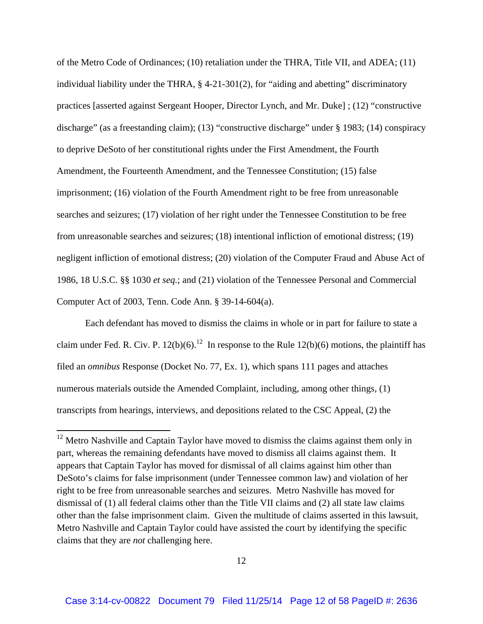of the Metro Code of Ordinances; (10) retaliation under the THRA, Title VII, and ADEA; (11) individual liability under the THRA, § 4-21-301(2), for "aiding and abetting" discriminatory practices [asserted against Sergeant Hooper, Director Lynch, and Mr. Duke] ; (12) "constructive discharge" (as a freestanding claim); (13) "constructive discharge" under § 1983; (14) conspiracy to deprive DeSoto of her constitutional rights under the First Amendment, the Fourth Amendment, the Fourteenth Amendment, and the Tennessee Constitution; (15) false imprisonment; (16) violation of the Fourth Amendment right to be free from unreasonable searches and seizures; (17) violation of her right under the Tennessee Constitution to be free from unreasonable searches and seizures; (18) intentional infliction of emotional distress; (19) negligent infliction of emotional distress; (20) violation of the Computer Fraud and Abuse Act of 1986, 18 U.S.C. §§ 1030 *et seq.*; and (21) violation of the Tennessee Personal and Commercial Computer Act of 2003, Tenn. Code Ann. § 39-14-604(a).

 Each defendant has moved to dismiss the claims in whole or in part for failure to state a claim under Fed. R. Civ. P. 12(b)(6).<sup>12</sup> In response to the Rule 12(b)(6) motions, the plaintiff has filed an *omnibus* Response (Docket No. 77, Ex. 1), which spans 111 pages and attaches numerous materials outside the Amended Complaint, including, among other things, (1) transcripts from hearings, interviews, and depositions related to the CSC Appeal, (2) the

 $12$  Metro Nashville and Captain Taylor have moved to dismiss the claims against them only in part, whereas the remaining defendants have moved to dismiss all claims against them. It appears that Captain Taylor has moved for dismissal of all claims against him other than DeSoto's claims for false imprisonment (under Tennessee common law) and violation of her right to be free from unreasonable searches and seizures. Metro Nashville has moved for dismissal of (1) all federal claims other than the Title VII claims and (2) all state law claims other than the false imprisonment claim. Given the multitude of claims asserted in this lawsuit, Metro Nashville and Captain Taylor could have assisted the court by identifying the specific claims that they are *not* challenging here.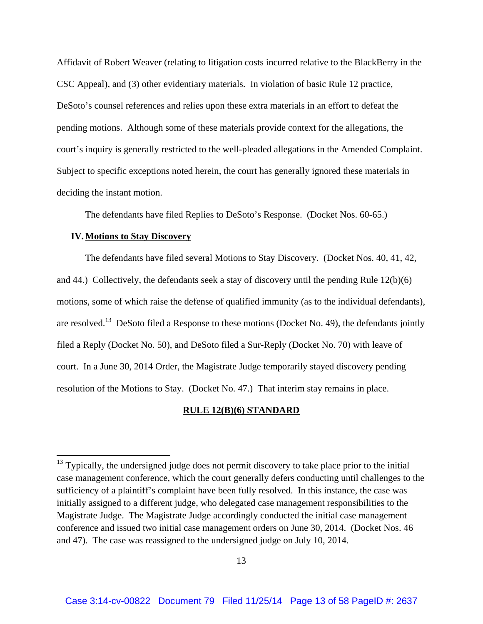Affidavit of Robert Weaver (relating to litigation costs incurred relative to the BlackBerry in the CSC Appeal), and (3) other evidentiary materials. In violation of basic Rule 12 practice, DeSoto's counsel references and relies upon these extra materials in an effort to defeat the pending motions. Although some of these materials provide context for the allegations, the court's inquiry is generally restricted to the well-pleaded allegations in the Amended Complaint. Subject to specific exceptions noted herein, the court has generally ignored these materials in deciding the instant motion.

The defendants have filed Replies to DeSoto's Response. (Docket Nos. 60-65.)

### **IV.Motions to Stay Discovery**

 The defendants have filed several Motions to Stay Discovery. (Docket Nos. 40, 41, 42, and 44.) Collectively, the defendants seek a stay of discovery until the pending Rule 12(b)(6) motions, some of which raise the defense of qualified immunity (as to the individual defendants), are resolved.<sup>13</sup> DeSoto filed a Response to these motions (Docket No. 49), the defendants jointly filed a Reply (Docket No. 50), and DeSoto filed a Sur-Reply (Docket No. 70) with leave of court. In a June 30, 2014 Order, the Magistrate Judge temporarily stayed discovery pending resolution of the Motions to Stay. (Docket No. 47.) That interim stay remains in place.

#### **RULE 12(B)(6) STANDARD**

 $13$  Typically, the undersigned judge does not permit discovery to take place prior to the initial case management conference, which the court generally defers conducting until challenges to the sufficiency of a plaintiff's complaint have been fully resolved. In this instance, the case was initially assigned to a different judge, who delegated case management responsibilities to the Magistrate Judge. The Magistrate Judge accordingly conducted the initial case management conference and issued two initial case management orders on June 30, 2014. (Docket Nos. 46 and 47). The case was reassigned to the undersigned judge on July 10, 2014.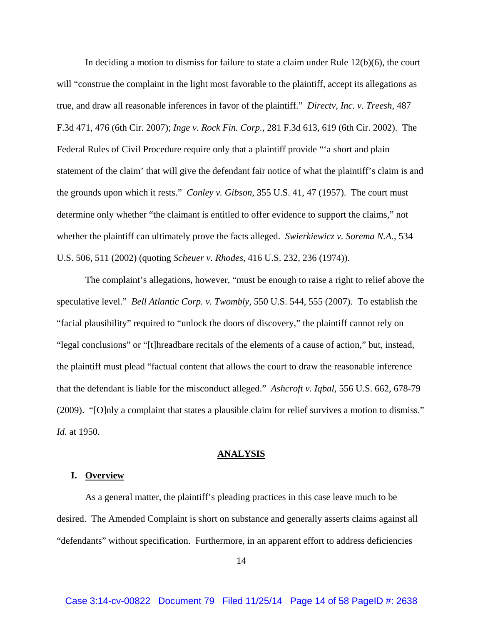In deciding a motion to dismiss for failure to state a claim under Rule 12(b)(6), the court will "construe the complaint in the light most favorable to the plaintiff, accept its allegations as true, and draw all reasonable inferences in favor of the plaintiff." *Directv, Inc. v. Treesh*, 487 F.3d 471, 476 (6th Cir. 2007); *Inge v. Rock Fin. Corp.*, 281 F.3d 613, 619 (6th Cir. 2002). The Federal Rules of Civil Procedure require only that a plaintiff provide "'a short and plain statement of the claim' that will give the defendant fair notice of what the plaintiff's claim is and the grounds upon which it rests." *Conley v. Gibson*, 355 U.S. 41, 47 (1957). The court must determine only whether "the claimant is entitled to offer evidence to support the claims," not whether the plaintiff can ultimately prove the facts alleged. *Swierkiewicz v. Sorema N.A.*, 534 U.S. 506, 511 (2002) (quoting *Scheuer v. Rhodes*, 416 U.S. 232, 236 (1974)).

The complaint's allegations, however, "must be enough to raise a right to relief above the speculative level." *Bell Atlantic Corp. v. Twombly*, 550 U.S. 544, 555 (2007). To establish the "facial plausibility" required to "unlock the doors of discovery," the plaintiff cannot rely on "legal conclusions" or "[t]hreadbare recitals of the elements of a cause of action," but, instead, the plaintiff must plead "factual content that allows the court to draw the reasonable inference that the defendant is liable for the misconduct alleged." *Ashcroft v. Iqbal*, 556 U.S. 662, 678-79 (2009). "[O]nly a complaint that states a plausible claim for relief survives a motion to dismiss." *Id.* at 1950.

#### **ANALYSIS**

### **I. Overview**

 As a general matter, the plaintiff's pleading practices in this case leave much to be desired. The Amended Complaint is short on substance and generally asserts claims against all "defendants" without specification. Furthermore, in an apparent effort to address deficiencies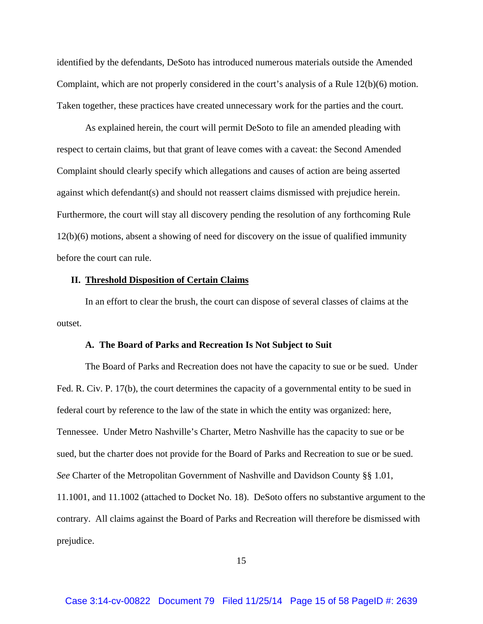identified by the defendants, DeSoto has introduced numerous materials outside the Amended Complaint, which are not properly considered in the court's analysis of a Rule 12(b)(6) motion. Taken together, these practices have created unnecessary work for the parties and the court.

As explained herein, the court will permit DeSoto to file an amended pleading with respect to certain claims, but that grant of leave comes with a caveat: the Second Amended Complaint should clearly specify which allegations and causes of action are being asserted against which defendant(s) and should not reassert claims dismissed with prejudice herein. Furthermore, the court will stay all discovery pending the resolution of any forthcoming Rule 12(b)(6) motions, absent a showing of need for discovery on the issue of qualified immunity before the court can rule.

### **II. Threshold Disposition of Certain Claims**

In an effort to clear the brush, the court can dispose of several classes of claims at the outset.

#### **A. The Board of Parks and Recreation Is Not Subject to Suit**

The Board of Parks and Recreation does not have the capacity to sue or be sued. Under Fed. R. Civ. P. 17(b), the court determines the capacity of a governmental entity to be sued in federal court by reference to the law of the state in which the entity was organized: here, Tennessee. Under Metro Nashville's Charter, Metro Nashville has the capacity to sue or be sued, but the charter does not provide for the Board of Parks and Recreation to sue or be sued. *See* Charter of the Metropolitan Government of Nashville and Davidson County §§ 1.01, 11.1001, and 11.1002 (attached to Docket No. 18). DeSoto offers no substantive argument to the contrary. All claims against the Board of Parks and Recreation will therefore be dismissed with prejudice.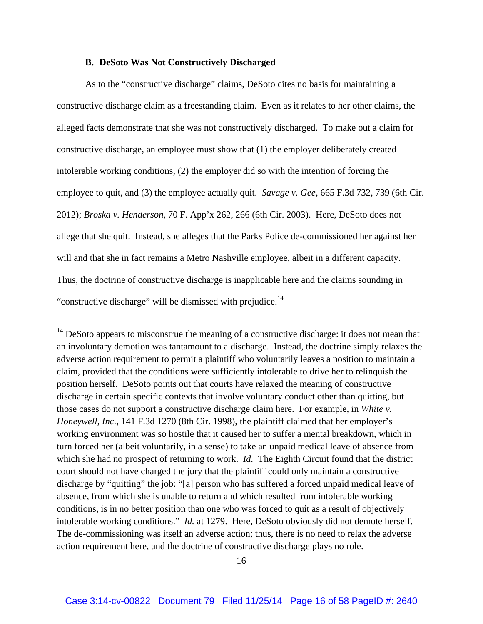### **B. DeSoto Was Not Constructively Discharged**

As to the "constructive discharge" claims, DeSoto cites no basis for maintaining a constructive discharge claim as a freestanding claim. Even as it relates to her other claims, the alleged facts demonstrate that she was not constructively discharged. To make out a claim for constructive discharge, an employee must show that (1) the employer deliberately created intolerable working conditions, (2) the employer did so with the intention of forcing the employee to quit, and (3) the employee actually quit. *Savage v. Gee*, 665 F.3d 732, 739 (6th Cir. 2012); *Broska v. Henderson*, 70 F. App'x 262, 266 (6th Cir. 2003). Here, DeSoto does not allege that she quit. Instead, she alleges that the Parks Police de-commissioned her against her will and that she in fact remains a Metro Nashville employee, albeit in a different capacity. Thus, the doctrine of constructive discharge is inapplicable here and the claims sounding in "constructive discharge" will be dismissed with prejudice.<sup>14</sup>

<sup>&</sup>lt;sup>14</sup> DeSoto appears to misconstrue the meaning of a constructive discharge: it does not mean that an involuntary demotion was tantamount to a discharge. Instead, the doctrine simply relaxes the adverse action requirement to permit a plaintiff who voluntarily leaves a position to maintain a claim, provided that the conditions were sufficiently intolerable to drive her to relinquish the position herself. DeSoto points out that courts have relaxed the meaning of constructive discharge in certain specific contexts that involve voluntary conduct other than quitting, but those cases do not support a constructive discharge claim here. For example, in *White v. Honeywell, Inc.*, 141 F.3d 1270 (8th Cir. 1998), the plaintiff claimed that her employer's working environment was so hostile that it caused her to suffer a mental breakdown, which in turn forced her (albeit voluntarily, in a sense) to take an unpaid medical leave of absence from which she had no prospect of returning to work. *Id.* The Eighth Circuit found that the district court should not have charged the jury that the plaintiff could only maintain a constructive discharge by "quitting" the job: "[a] person who has suffered a forced unpaid medical leave of absence, from which she is unable to return and which resulted from intolerable working conditions, is in no better position than one who was forced to quit as a result of objectively intolerable working conditions." *Id.* at 1279. Here, DeSoto obviously did not demote herself. The de-commissioning was itself an adverse action; thus, there is no need to relax the adverse action requirement here, and the doctrine of constructive discharge plays no role.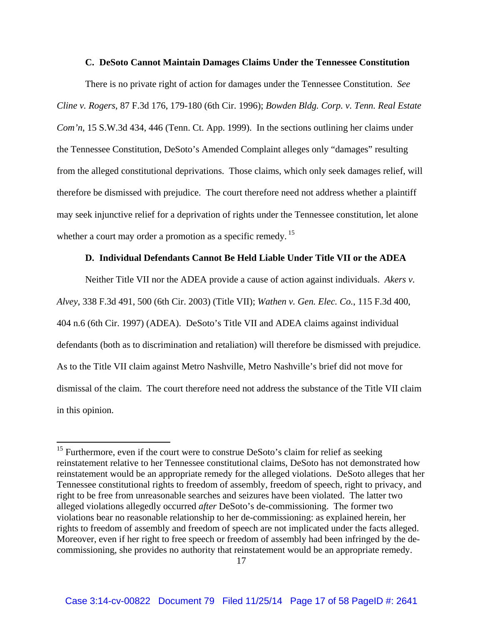### **C. DeSoto Cannot Maintain Damages Claims Under the Tennessee Constitution**

There is no private right of action for damages under the Tennessee Constitution. *See Cline v. Rogers*, 87 F.3d 176, 179-180 (6th Cir. 1996); *Bowden Bldg. Corp. v. Tenn. Real Estate Com'n*, 15 S.W.3d 434, 446 (Tenn. Ct. App. 1999). In the sections outlining her claims under the Tennessee Constitution, DeSoto's Amended Complaint alleges only "damages" resulting from the alleged constitutional deprivations. Those claims, which only seek damages relief, will therefore be dismissed with prejudice. The court therefore need not address whether a plaintiff may seek injunctive relief for a deprivation of rights under the Tennessee constitution, let alone whether a court may order a promotion as a specific remedy.<sup>15</sup>

## **D. Individual Defendants Cannot Be Held Liable Under Title VII or the ADEA**

Neither Title VII nor the ADEA provide a cause of action against individuals. *Akers v. Alvey*, 338 F.3d 491, 500 (6th Cir. 2003) (Title VII); *Wathen v. Gen. Elec. Co.*, 115 F.3d 400, 404 n.6 (6th Cir. 1997) (ADEA). DeSoto's Title VII and ADEA claims against individual defendants (both as to discrimination and retaliation) will therefore be dismissed with prejudice. As to the Title VII claim against Metro Nashville, Metro Nashville's brief did not move for dismissal of the claim. The court therefore need not address the substance of the Title VII claim in this opinion.

 $15$  Furthermore, even if the court were to construe DeSoto's claim for relief as seeking reinstatement relative to her Tennessee constitutional claims, DeSoto has not demonstrated how reinstatement would be an appropriate remedy for the alleged violations. DeSoto alleges that her Tennessee constitutional rights to freedom of assembly, freedom of speech, right to privacy, and right to be free from unreasonable searches and seizures have been violated. The latter two alleged violations allegedly occurred *after* DeSoto's de-commissioning. The former two violations bear no reasonable relationship to her de-commissioning: as explained herein, her rights to freedom of assembly and freedom of speech are not implicated under the facts alleged. Moreover, even if her right to free speech or freedom of assembly had been infringed by the decommissioning, she provides no authority that reinstatement would be an appropriate remedy.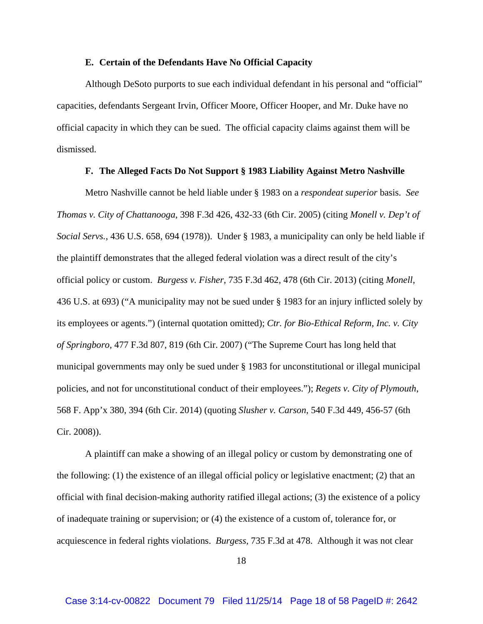### **E. Certain of the Defendants Have No Official Capacity**

Although DeSoto purports to sue each individual defendant in his personal and "official" capacities, defendants Sergeant Irvin, Officer Moore, Officer Hooper, and Mr. Duke have no official capacity in which they can be sued. The official capacity claims against them will be dismissed.

### **F. The Alleged Facts Do Not Support § 1983 Liability Against Metro Nashville**

Metro Nashville cannot be held liable under § 1983 on a *respondeat superior* basis. *See Thomas v. City of Chattanooga*, 398 F.3d 426, 432-33 (6th Cir. 2005) (citing *Monell v. Dep't of Social Servs.*, 436 U.S. 658, 694 (1978)). Under § 1983, a municipality can only be held liable if the plaintiff demonstrates that the alleged federal violation was a direct result of the city's official policy or custom. *Burgess v. Fisher*, 735 F.3d 462, 478 (6th Cir. 2013) (citing *Monell*, 436 U.S. at 693) ("A municipality may not be sued under § 1983 for an injury inflicted solely by its employees or agents.") (internal quotation omitted); *Ctr. for Bio-Ethical Reform, Inc. v. City of Springboro*, 477 F.3d 807, 819 (6th Cir. 2007) ("The Supreme Court has long held that municipal governments may only be sued under § 1983 for unconstitutional or illegal municipal policies, and not for unconstitutional conduct of their employees."); *Regets v. City of Plymouth*, 568 F. App'x 380, 394 (6th Cir. 2014) (quoting *Slusher v. Carson*, 540 F.3d 449, 456-57 (6th Cir. 2008)).

A plaintiff can make a showing of an illegal policy or custom by demonstrating one of the following: (1) the existence of an illegal official policy or legislative enactment; (2) that an official with final decision-making authority ratified illegal actions; (3) the existence of a policy of inadequate training or supervision; or (4) the existence of a custom of, tolerance for, or acquiescence in federal rights violations. *Burgess*, 735 F.3d at 478. Although it was not clear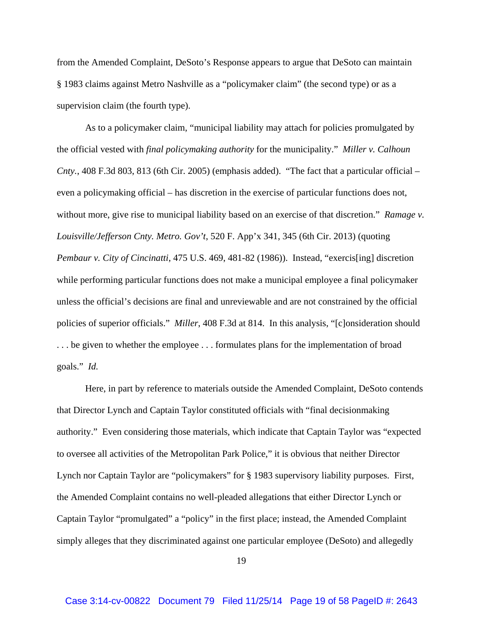from the Amended Complaint, DeSoto's Response appears to argue that DeSoto can maintain § 1983 claims against Metro Nashville as a "policymaker claim" (the second type) or as a supervision claim (the fourth type).

As to a policymaker claim, "municipal liability may attach for policies promulgated by the official vested with *final policymaking authority* for the municipality." *Miller v. Calhoun Cnty.*, 408 F.3d 803, 813 (6th Cir. 2005) (emphasis added). "The fact that a particular official – even a policymaking official – has discretion in the exercise of particular functions does not, without more, give rise to municipal liability based on an exercise of that discretion." *Ramage v. Louisville/Jefferson Cnty. Metro. Gov't*, 520 F. App'x 341, 345 (6th Cir. 2013) (quoting *Pembaur v. City of Cincinatti*, 475 U.S. 469, 481-82 (1986)). Instead, "exercis[ing] discretion while performing particular functions does not make a municipal employee a final policymaker unless the official's decisions are final and unreviewable and are not constrained by the official policies of superior officials." *Miller*, 408 F.3d at 814. In this analysis, "[c]onsideration should ... be given to whether the employee ... formulates plans for the implementation of broad goals." *Id.*

Here, in part by reference to materials outside the Amended Complaint, DeSoto contends that Director Lynch and Captain Taylor constituted officials with "final decisionmaking authority." Even considering those materials, which indicate that Captain Taylor was "expected to oversee all activities of the Metropolitan Park Police," it is obvious that neither Director Lynch nor Captain Taylor are "policymakers" for § 1983 supervisory liability purposes. First, the Amended Complaint contains no well-pleaded allegations that either Director Lynch or Captain Taylor "promulgated" a "policy" in the first place; instead, the Amended Complaint simply alleges that they discriminated against one particular employee (DeSoto) and allegedly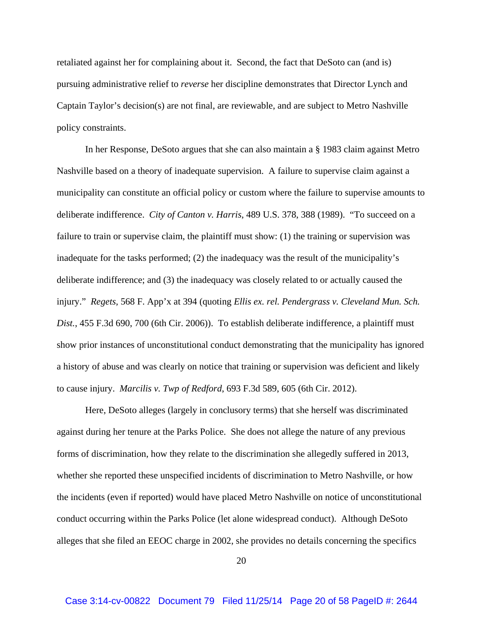retaliated against her for complaining about it. Second, the fact that DeSoto can (and is) pursuing administrative relief to *reverse* her discipline demonstrates that Director Lynch and Captain Taylor's decision(s) are not final, are reviewable, and are subject to Metro Nashville policy constraints.

In her Response, DeSoto argues that she can also maintain a § 1983 claim against Metro Nashville based on a theory of inadequate supervision. A failure to supervise claim against a municipality can constitute an official policy or custom where the failure to supervise amounts to deliberate indifference. *City of Canton v. Harris*, 489 U.S. 378, 388 (1989). "To succeed on a failure to train or supervise claim, the plaintiff must show: (1) the training or supervision was inadequate for the tasks performed; (2) the inadequacy was the result of the municipality's deliberate indifference; and (3) the inadequacy was closely related to or actually caused the injury." *Regets*, 568 F. App'x at 394 (quoting *Ellis ex. rel. Pendergrass v. Cleveland Mun. Sch. Dist.*, 455 F.3d 690, 700 (6th Cir. 2006)). To establish deliberate indifference, a plaintiff must show prior instances of unconstitutional conduct demonstrating that the municipality has ignored a history of abuse and was clearly on notice that training or supervision was deficient and likely to cause injury. *Marcilis v. Twp of Redford*, 693 F.3d 589, 605 (6th Cir. 2012).

Here, DeSoto alleges (largely in conclusory terms) that she herself was discriminated against during her tenure at the Parks Police. She does not allege the nature of any previous forms of discrimination, how they relate to the discrimination she allegedly suffered in 2013, whether she reported these unspecified incidents of discrimination to Metro Nashville, or how the incidents (even if reported) would have placed Metro Nashville on notice of unconstitutional conduct occurring within the Parks Police (let alone widespread conduct). Although DeSoto alleges that she filed an EEOC charge in 2002, she provides no details concerning the specifics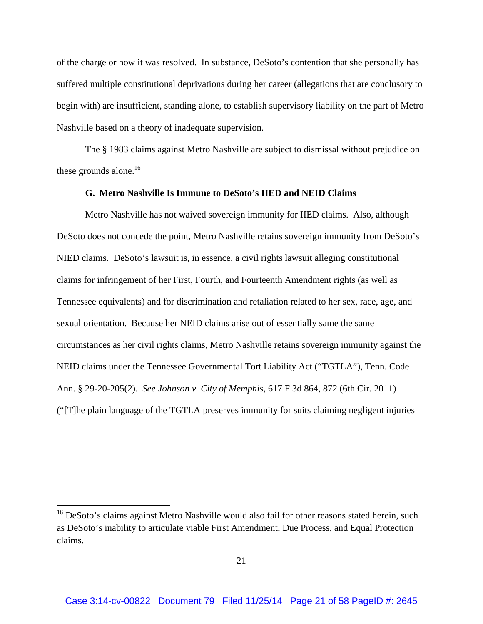of the charge or how it was resolved. In substance, DeSoto's contention that she personally has suffered multiple constitutional deprivations during her career (allegations that are conclusory to begin with) are insufficient, standing alone, to establish supervisory liability on the part of Metro Nashville based on a theory of inadequate supervision.

The § 1983 claims against Metro Nashville are subject to dismissal without prejudice on these grounds alone. $16$ 

# **G. Metro Nashville Is Immune to DeSoto's IIED and NEID Claims**

Metro Nashville has not waived sovereign immunity for IIED claims. Also, although DeSoto does not concede the point, Metro Nashville retains sovereign immunity from DeSoto's NIED claims. DeSoto's lawsuit is, in essence, a civil rights lawsuit alleging constitutional claims for infringement of her First, Fourth, and Fourteenth Amendment rights (as well as Tennessee equivalents) and for discrimination and retaliation related to her sex, race, age, and sexual orientation. Because her NEID claims arise out of essentially same the same circumstances as her civil rights claims, Metro Nashville retains sovereign immunity against the NEID claims under the Tennessee Governmental Tort Liability Act ("TGTLA"), Tenn. Code Ann. § 29-20-205(2). *See Johnson v. City of Memphis*, 617 F.3d 864, 872 (6th Cir. 2011) ("[T]he plain language of the TGTLA preserves immunity for suits claiming negligent injuries

<sup>&</sup>lt;sup>16</sup> DeSoto's claims against Metro Nashville would also fail for other reasons stated herein, such as DeSoto's inability to articulate viable First Amendment, Due Process, and Equal Protection claims.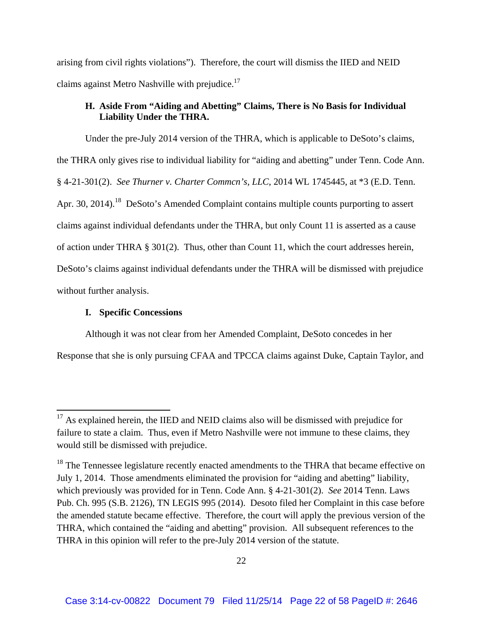arising from civil rights violations"). Therefore, the court will dismiss the IIED and NEID claims against Metro Nashville with prejudice.<sup>17</sup>

# **H. Aside From "Aiding and Abetting" Claims, There is No Basis for Individual Liability Under the THRA.**

Under the pre-July 2014 version of the THRA, which is applicable to DeSoto's claims, the THRA only gives rise to individual liability for "aiding and abetting" under Tenn. Code Ann. § 4-21-301(2). *See Thurner v. Charter Commcn's, LLC*, 2014 WL 1745445, at \*3 (E.D. Tenn. Apr. 30, 2014).<sup>18</sup> DeSoto's Amended Complaint contains multiple counts purporting to assert claims against individual defendants under the THRA, but only Count 11 is asserted as a cause of action under THRA § 301(2). Thus, other than Count 11, which the court addresses herein, DeSoto's claims against individual defendants under the THRA will be dismissed with prejudice without further analysis.

# **I. Specific Concessions**

Although it was not clear from her Amended Complaint, DeSoto concedes in her

Response that she is only pursuing CFAA and TPCCA claims against Duke, Captain Taylor, and

 $17$  As explained herein, the IIED and NEID claims also will be dismissed with prejudice for failure to state a claim. Thus, even if Metro Nashville were not immune to these claims, they would still be dismissed with prejudice.

 $18$  The Tennessee legislature recently enacted amendments to the THRA that became effective on July 1, 2014. Those amendments eliminated the provision for "aiding and abetting" liability, which previously was provided for in Tenn. Code Ann. § 4-21-301(2). *See* 2014 Tenn. Laws Pub. Ch. 995 (S.B. 2126), TN LEGIS 995 (2014). Desoto filed her Complaint in this case before the amended statute became effective. Therefore, the court will apply the previous version of the THRA, which contained the "aiding and abetting" provision. All subsequent references to the THRA in this opinion will refer to the pre-July 2014 version of the statute.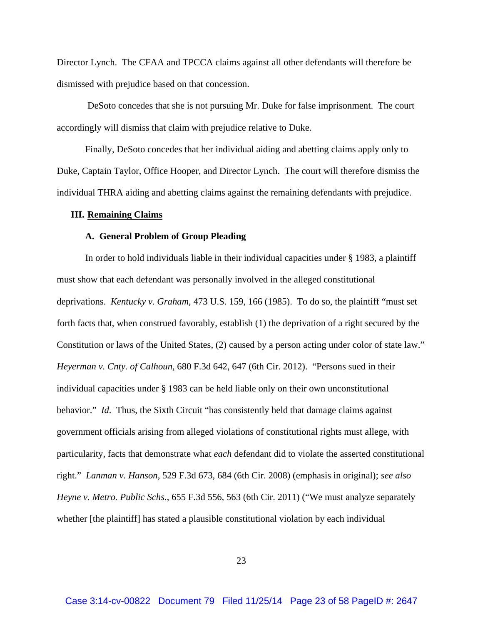Director Lynch. The CFAA and TPCCA claims against all other defendants will therefore be dismissed with prejudice based on that concession.

 DeSoto concedes that she is not pursuing Mr. Duke for false imprisonment. The court accordingly will dismiss that claim with prejudice relative to Duke.

Finally, DeSoto concedes that her individual aiding and abetting claims apply only to Duke, Captain Taylor, Office Hooper, and Director Lynch. The court will therefore dismiss the individual THRA aiding and abetting claims against the remaining defendants with prejudice.

#### **III. Remaining Claims**

#### **A. General Problem of Group Pleading**

In order to hold individuals liable in their individual capacities under § 1983, a plaintiff must show that each defendant was personally involved in the alleged constitutional deprivations. *Kentucky v. Graham*, 473 U.S. 159, 166 (1985). To do so, the plaintiff "must set forth facts that, when construed favorably, establish (1) the deprivation of a right secured by the Constitution or laws of the United States, (2) caused by a person acting under color of state law." *Heyerman v. Cnty. of Calhoun*, 680 F.3d 642, 647 (6th Cir. 2012). "Persons sued in their individual capacities under § 1983 can be held liable only on their own unconstitutional behavior." *Id*. Thus, the Sixth Circuit "has consistently held that damage claims against government officials arising from alleged violations of constitutional rights must allege, with particularity, facts that demonstrate what *each* defendant did to violate the asserted constitutional right." *Lanman v. Hanson*, 529 F.3d 673, 684 (6th Cir. 2008) (emphasis in original); *see also Heyne v. Metro. Public Schs.*, 655 F.3d 556*,* 563 (6th Cir. 2011) ("We must analyze separately whether [the plaintiff] has stated a plausible constitutional violation by each individual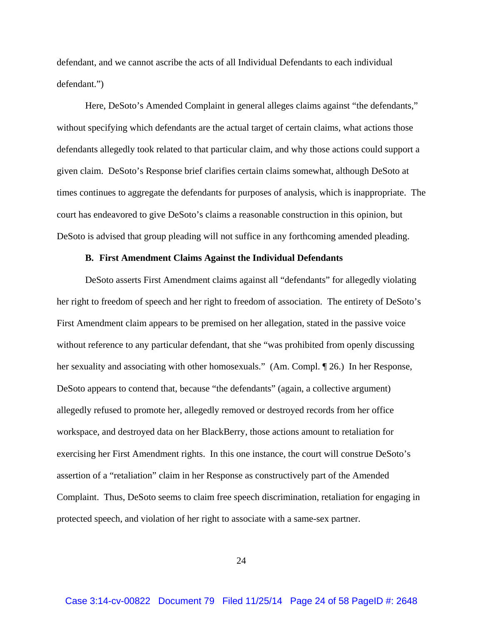defendant, and we cannot ascribe the acts of all Individual Defendants to each individual defendant.")

Here, DeSoto's Amended Complaint in general alleges claims against "the defendants," without specifying which defendants are the actual target of certain claims, what actions those defendants allegedly took related to that particular claim, and why those actions could support a given claim. DeSoto's Response brief clarifies certain claims somewhat, although DeSoto at times continues to aggregate the defendants for purposes of analysis, which is inappropriate. The court has endeavored to give DeSoto's claims a reasonable construction in this opinion, but DeSoto is advised that group pleading will not suffice in any forthcoming amended pleading.

#### **B. First Amendment Claims Against the Individual Defendants**

DeSoto asserts First Amendment claims against all "defendants" for allegedly violating her right to freedom of speech and her right to freedom of association. The entirety of DeSoto's First Amendment claim appears to be premised on her allegation, stated in the passive voice without reference to any particular defendant, that she "was prohibited from openly discussing her sexuality and associating with other homosexuals." (Am. Compl. ¶ 26.) In her Response, DeSoto appears to contend that, because "the defendants" (again, a collective argument) allegedly refused to promote her, allegedly removed or destroyed records from her office workspace, and destroyed data on her BlackBerry, those actions amount to retaliation for exercising her First Amendment rights. In this one instance, the court will construe DeSoto's assertion of a "retaliation" claim in her Response as constructively part of the Amended Complaint. Thus, DeSoto seems to claim free speech discrimination, retaliation for engaging in protected speech, and violation of her right to associate with a same-sex partner.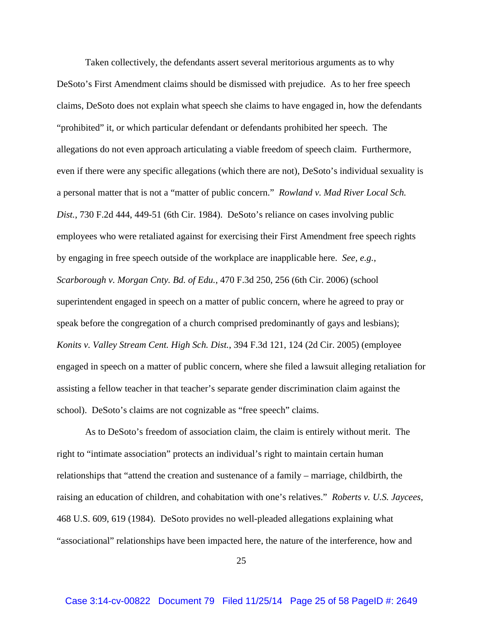Taken collectively, the defendants assert several meritorious arguments as to why DeSoto's First Amendment claims should be dismissed with prejudice. As to her free speech claims, DeSoto does not explain what speech she claims to have engaged in, how the defendants "prohibited" it, or which particular defendant or defendants prohibited her speech. The allegations do not even approach articulating a viable freedom of speech claim. Furthermore, even if there were any specific allegations (which there are not), DeSoto's individual sexuality is a personal matter that is not a "matter of public concern." *Rowland v. Mad River Local Sch. Dist.*, 730 F.2d 444, 449-51 (6th Cir. 1984). DeSoto's reliance on cases involving public employees who were retaliated against for exercising their First Amendment free speech rights by engaging in free speech outside of the workplace are inapplicable here. *See, e.g.*, *Scarborough v. Morgan Cnty. Bd. of Edu.*, 470 F.3d 250, 256 (6th Cir. 2006) (school superintendent engaged in speech on a matter of public concern, where he agreed to pray or speak before the congregation of a church comprised predominantly of gays and lesbians); *Konits v. Valley Stream Cent. High Sch. Dist.*, 394 F.3d 121, 124 (2d Cir. 2005) (employee engaged in speech on a matter of public concern, where she filed a lawsuit alleging retaliation for assisting a fellow teacher in that teacher's separate gender discrimination claim against the school). DeSoto's claims are not cognizable as "free speech" claims.

As to DeSoto's freedom of association claim, the claim is entirely without merit. The right to "intimate association" protects an individual's right to maintain certain human relationships that "attend the creation and sustenance of a family – marriage, childbirth, the raising an education of children, and cohabitation with one's relatives." *Roberts v. U.S. Jaycees*, 468 U.S. 609, 619 (1984). DeSoto provides no well-pleaded allegations explaining what "associational" relationships have been impacted here, the nature of the interference, how and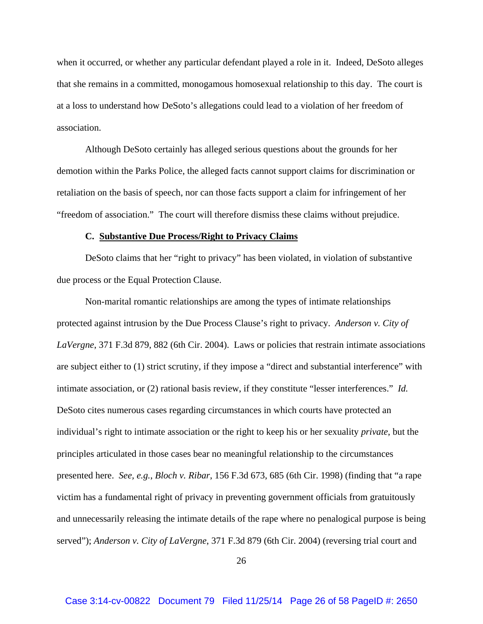when it occurred, or whether any particular defendant played a role in it. Indeed, DeSoto alleges that she remains in a committed, monogamous homosexual relationship to this day. The court is at a loss to understand how DeSoto's allegations could lead to a violation of her freedom of association.

Although DeSoto certainly has alleged serious questions about the grounds for her demotion within the Parks Police, the alleged facts cannot support claims for discrimination or retaliation on the basis of speech, nor can those facts support a claim for infringement of her "freedom of association." The court will therefore dismiss these claims without prejudice.

#### **C. Substantive Due Process/Right to Privacy Claims**

DeSoto claims that her "right to privacy" has been violated, in violation of substantive due process or the Equal Protection Clause.

Non-marital romantic relationships are among the types of intimate relationships protected against intrusion by the Due Process Clause's right to privacy. *Anderson v. City of LaVergne*, 371 F.3d 879, 882 (6th Cir. 2004). Laws or policies that restrain intimate associations are subject either to (1) strict scrutiny, if they impose a "direct and substantial interference" with intimate association, or (2) rational basis review, if they constitute "lesser interferences." *Id.*  DeSoto cites numerous cases regarding circumstances in which courts have protected an individual's right to intimate association or the right to keep his or her sexuality *private*, but the principles articulated in those cases bear no meaningful relationship to the circumstances presented here. *See, e.g.*, *Bloch v. Ribar*, 156 F.3d 673, 685 (6th Cir. 1998) (finding that "a rape victim has a fundamental right of privacy in preventing government officials from gratuitously and unnecessarily releasing the intimate details of the rape where no penalogical purpose is being served"); *Anderson v. City of LaVergne*, 371 F.3d 879 (6th Cir. 2004) (reversing trial court and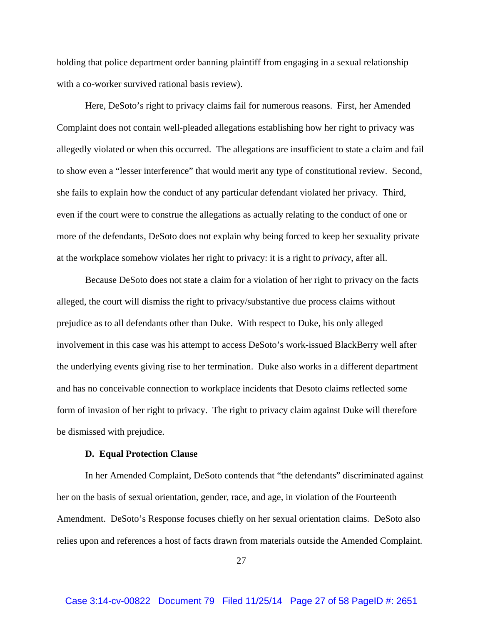holding that police department order banning plaintiff from engaging in a sexual relationship with a co-worker survived rational basis review).

Here, DeSoto's right to privacy claims fail for numerous reasons. First, her Amended Complaint does not contain well-pleaded allegations establishing how her right to privacy was allegedly violated or when this occurred. The allegations are insufficient to state a claim and fail to show even a "lesser interference" that would merit any type of constitutional review. Second, she fails to explain how the conduct of any particular defendant violated her privacy. Third, even if the court were to construe the allegations as actually relating to the conduct of one or more of the defendants, DeSoto does not explain why being forced to keep her sexuality private at the workplace somehow violates her right to privacy: it is a right to *privacy*, after all.

Because DeSoto does not state a claim for a violation of her right to privacy on the facts alleged, the court will dismiss the right to privacy/substantive due process claims without prejudice as to all defendants other than Duke. With respect to Duke, his only alleged involvement in this case was his attempt to access DeSoto's work-issued BlackBerry well after the underlying events giving rise to her termination. Duke also works in a different department and has no conceivable connection to workplace incidents that Desoto claims reflected some form of invasion of her right to privacy. The right to privacy claim against Duke will therefore be dismissed with prejudice.

#### **D. Equal Protection Clause**

In her Amended Complaint, DeSoto contends that "the defendants" discriminated against her on the basis of sexual orientation, gender, race, and age, in violation of the Fourteenth Amendment. DeSoto's Response focuses chiefly on her sexual orientation claims. DeSoto also relies upon and references a host of facts drawn from materials outside the Amended Complaint.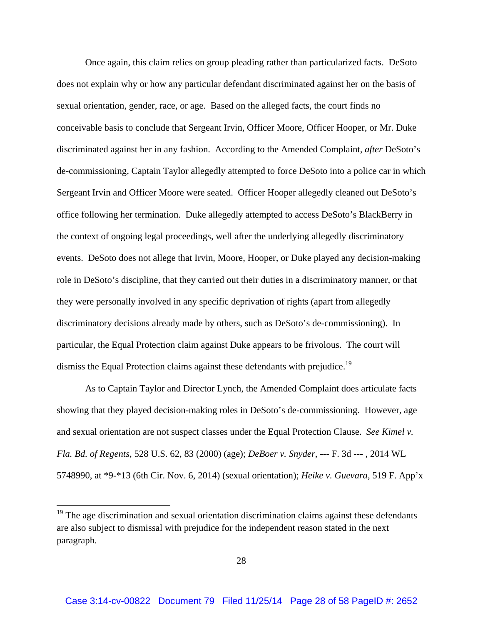Once again, this claim relies on group pleading rather than particularized facts. DeSoto does not explain why or how any particular defendant discriminated against her on the basis of sexual orientation, gender, race, or age. Based on the alleged facts, the court finds no conceivable basis to conclude that Sergeant Irvin, Officer Moore, Officer Hooper, or Mr. Duke discriminated against her in any fashion. According to the Amended Complaint, *after* DeSoto's de-commissioning, Captain Taylor allegedly attempted to force DeSoto into a police car in which Sergeant Irvin and Officer Moore were seated. Officer Hooper allegedly cleaned out DeSoto's office following her termination. Duke allegedly attempted to access DeSoto's BlackBerry in the context of ongoing legal proceedings, well after the underlying allegedly discriminatory events. DeSoto does not allege that Irvin, Moore, Hooper, or Duke played any decision-making role in DeSoto's discipline, that they carried out their duties in a discriminatory manner, or that they were personally involved in any specific deprivation of rights (apart from allegedly discriminatory decisions already made by others, such as DeSoto's de-commissioning). In particular, the Equal Protection claim against Duke appears to be frivolous. The court will dismiss the Equal Protection claims against these defendants with prejudice.<sup>19</sup>

 As to Captain Taylor and Director Lynch, the Amended Complaint does articulate facts showing that they played decision-making roles in DeSoto's de-commissioning. However, age and sexual orientation are not suspect classes under the Equal Protection Clause. *See Kimel v. Fla. Bd. of Regents*, 528 U.S. 62, 83 (2000) (age); *DeBoer v. Snyder*, --- F. 3d --- , 2014 WL 5748990, at \*9-\*13 (6th Cir. Nov. 6, 2014) (sexual orientation); *Heike v. Guevara*, 519 F. App'x

<sup>&</sup>lt;sup>19</sup> The age discrimination and sexual orientation discrimination claims against these defendants are also subject to dismissal with prejudice for the independent reason stated in the next paragraph.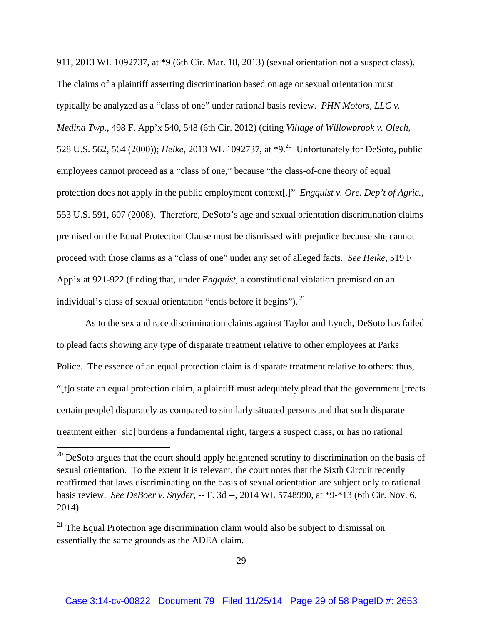911, 2013 WL 1092737, at \*9 (6th Cir. Mar. 18, 2013) (sexual orientation not a suspect class). The claims of a plaintiff asserting discrimination based on age or sexual orientation must typically be analyzed as a "class of one" under rational basis review. *PHN Motors, LLC v. Medina Twp.*, 498 F. App'x 540, 548 (6th Cir. 2012) (citing *Village of Willowbrook v. Olech*, 528 U.S. 562, 564 (2000)); *Heike*, 2013 WL 1092737, at \*9.20 Unfortunately for DeSoto, public employees cannot proceed as a "class of one," because "the class-of-one theory of equal protection does not apply in the public employment context[.]" *Engquist v. Ore. Dep't of Agric.*, 553 U.S. 591, 607 (2008). Therefore, DeSoto's age and sexual orientation discrimination claims premised on the Equal Protection Clause must be dismissed with prejudice because she cannot proceed with those claims as a "class of one" under any set of alleged facts. *See Heike*, 519 F App'x at 921-922 (finding that, under *Engquist*, a constitutional violation premised on an individual's class of sexual orientation "ends before it begins"). <sup>21</sup>

As to the sex and race discrimination claims against Taylor and Lynch, DeSoto has failed to plead facts showing any type of disparate treatment relative to other employees at Parks Police. The essence of an equal protection claim is disparate treatment relative to others: thus, "[t]o state an equal protection claim, a plaintiff must adequately plead that the government [treats certain people] disparately as compared to similarly situated persons and that such disparate treatment either [sic] burdens a fundamental right, targets a suspect class, or has no rational

 $20$  DeSoto argues that the court should apply heightened scrutiny to discrimination on the basis of sexual orientation. To the extent it is relevant, the court notes that the Sixth Circuit recently reaffirmed that laws discriminating on the basis of sexual orientation are subject only to rational basis review. *See DeBoer v. Snyder*, -- F. 3d --, 2014 WL 5748990, at \*9-\*13 (6th Cir. Nov. 6, 2014)

 $21$  The Equal Protection age discrimination claim would also be subject to dismissal on essentially the same grounds as the ADEA claim.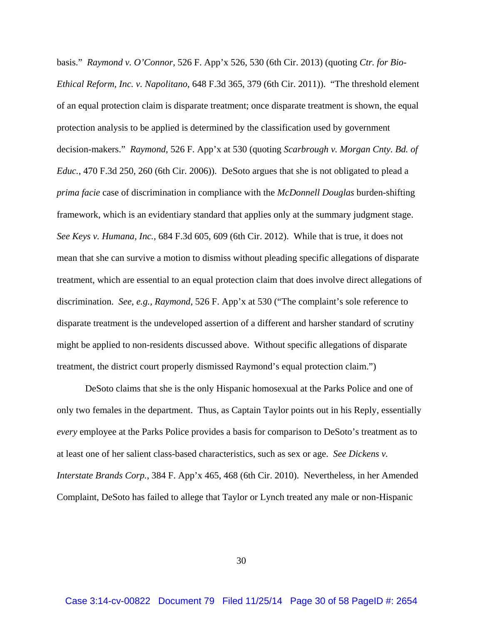basis." *Raymond v. O'Connor*, 526 F. App'x 526, 530 (6th Cir. 2013) (quoting *Ctr. for Bio-Ethical Reform, Inc. v. Napolitano*, 648 F.3d 365, 379 (6th Cir. 2011)). "The threshold element of an equal protection claim is disparate treatment; once disparate treatment is shown, the equal protection analysis to be applied is determined by the classification used by government decision-makers." *Raymond*, 526 F. App'x at 530 (quoting *Scarbrough v. Morgan Cnty. Bd. of Educ.*, 470 F.3d 250, 260 (6th Cir. 2006)). DeSoto argues that she is not obligated to plead a *prima facie* case of discrimination in compliance with the *McDonnell Douglas* burden-shifting framework, which is an evidentiary standard that applies only at the summary judgment stage. *See Keys v. Humana, Inc.*, 684 F.3d 605, 609 (6th Cir. 2012). While that is true, it does not mean that she can survive a motion to dismiss without pleading specific allegations of disparate treatment, which are essential to an equal protection claim that does involve direct allegations of discrimination. *See, e.g., Raymond*, 526 F. App'x at 530 ("The complaint's sole reference to disparate treatment is the undeveloped assertion of a different and harsher standard of scrutiny might be applied to non-residents discussed above. Without specific allegations of disparate treatment, the district court properly dismissed Raymond's equal protection claim.")

DeSoto claims that she is the only Hispanic homosexual at the Parks Police and one of only two females in the department. Thus, as Captain Taylor points out in his Reply, essentially *every* employee at the Parks Police provides a basis for comparison to DeSoto's treatment as to at least one of her salient class-based characteristics, such as sex or age. *See Dickens v. Interstate Brands Corp.*, 384 F. App'x 465, 468 (6th Cir. 2010). Nevertheless, in her Amended Complaint, DeSoto has failed to allege that Taylor or Lynch treated any male or non-Hispanic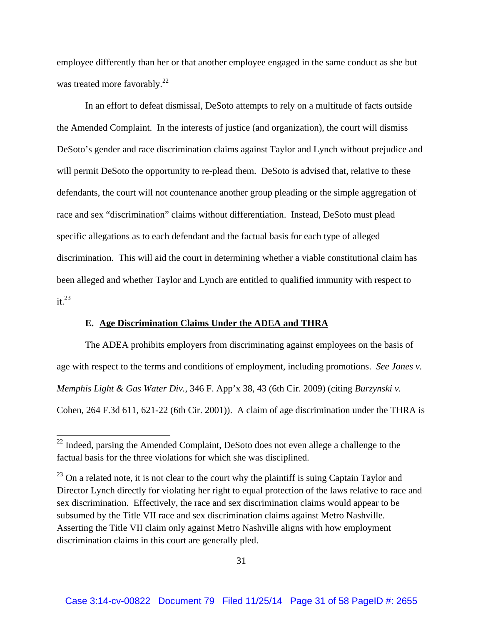employee differently than her or that another employee engaged in the same conduct as she but was treated more favorably.<sup>22</sup>

In an effort to defeat dismissal, DeSoto attempts to rely on a multitude of facts outside the Amended Complaint. In the interests of justice (and organization), the court will dismiss DeSoto's gender and race discrimination claims against Taylor and Lynch without prejudice and will permit DeSoto the opportunity to re-plead them. DeSoto is advised that, relative to these defendants, the court will not countenance another group pleading or the simple aggregation of race and sex "discrimination" claims without differentiation. Instead, DeSoto must plead specific allegations as to each defendant and the factual basis for each type of alleged discrimination. This will aid the court in determining whether a viable constitutional claim has been alleged and whether Taylor and Lynch are entitled to qualified immunity with respect to  $it^{23}$ 

## **E. Age Discrimination Claims Under the ADEA and THRA**

The ADEA prohibits employers from discriminating against employees on the basis of age with respect to the terms and conditions of employment, including promotions. *See Jones v. Memphis Light & Gas Water Div.*, 346 F. App'x 38, 43 (6th Cir. 2009) (citing *Burzynski v.*  Cohen, 264 F.3d 611, 621-22 (6th Cir. 2001)). A claim of age discrimination under the THRA is

 $22$  Indeed, parsing the Amended Complaint, DeSoto does not even allege a challenge to the factual basis for the three violations for which she was disciplined.

 $^{23}$  On a related note, it is not clear to the court why the plaintiff is suing Captain Taylor and Director Lynch directly for violating her right to equal protection of the laws relative to race and sex discrimination. Effectively, the race and sex discrimination claims would appear to be subsumed by the Title VII race and sex discrimination claims against Metro Nashville. Asserting the Title VII claim only against Metro Nashville aligns with how employment discrimination claims in this court are generally pled.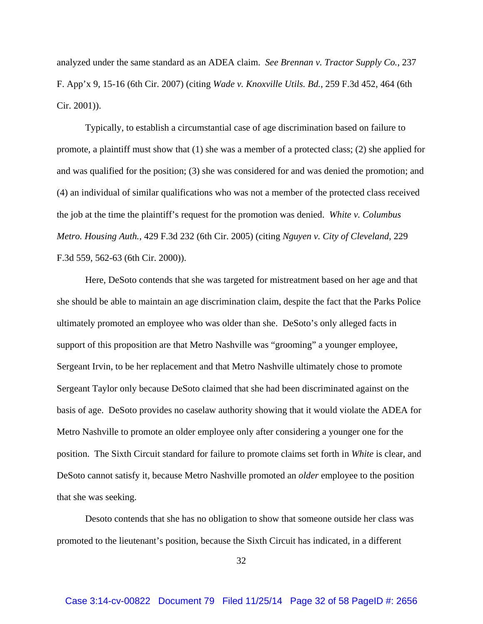analyzed under the same standard as an ADEA claim. *See Brennan v. Tractor Supply Co.*, 237 F. App'x 9, 15-16 (6th Cir. 2007) (citing *Wade v. Knoxville Utils. Bd.*, 259 F.3d 452, 464 (6th Cir. 2001)).

Typically, to establish a circumstantial case of age discrimination based on failure to promote, a plaintiff must show that (1) she was a member of a protected class; (2) she applied for and was qualified for the position; (3) she was considered for and was denied the promotion; and (4) an individual of similar qualifications who was not a member of the protected class received the job at the time the plaintiff's request for the promotion was denied. *White v. Columbus Metro. Housing Auth.*, 429 F.3d 232 (6th Cir. 2005) (citing *Nguyen v. City of Cleveland*, 229 F.3d 559, 562-63 (6th Cir. 2000)).

Here, DeSoto contends that she was targeted for mistreatment based on her age and that she should be able to maintain an age discrimination claim, despite the fact that the Parks Police ultimately promoted an employee who was older than she. DeSoto's only alleged facts in support of this proposition are that Metro Nashville was "grooming" a younger employee, Sergeant Irvin, to be her replacement and that Metro Nashville ultimately chose to promote Sergeant Taylor only because DeSoto claimed that she had been discriminated against on the basis of age. DeSoto provides no caselaw authority showing that it would violate the ADEA for Metro Nashville to promote an older employee only after considering a younger one for the position. The Sixth Circuit standard for failure to promote claims set forth in *White* is clear, and DeSoto cannot satisfy it, because Metro Nashville promoted an *older* employee to the position that she was seeking.

Desoto contends that she has no obligation to show that someone outside her class was promoted to the lieutenant's position, because the Sixth Circuit has indicated, in a different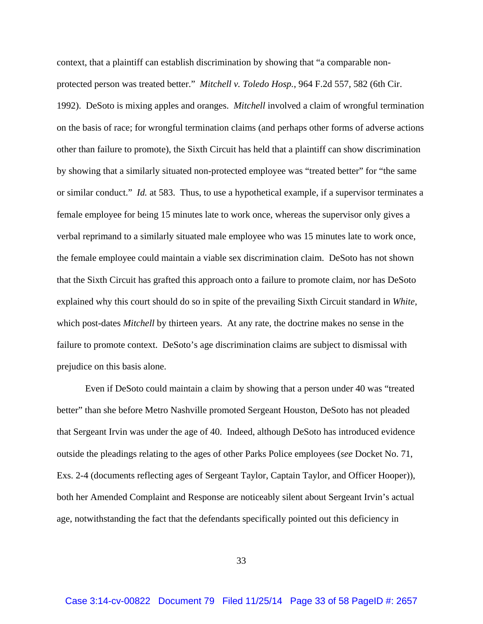context, that a plaintiff can establish discrimination by showing that "a comparable nonprotected person was treated better." *Mitchell v. Toledo Hosp.*, 964 F.2d 557*,* 582 (6th Cir. 1992). DeSoto is mixing apples and oranges. *Mitchell* involved a claim of wrongful termination on the basis of race; for wrongful termination claims (and perhaps other forms of adverse actions other than failure to promote), the Sixth Circuit has held that a plaintiff can show discrimination by showing that a similarly situated non-protected employee was "treated better" for "the same or similar conduct." *Id.* at 583. Thus, to use a hypothetical example, if a supervisor terminates a female employee for being 15 minutes late to work once, whereas the supervisor only gives a verbal reprimand to a similarly situated male employee who was 15 minutes late to work once, the female employee could maintain a viable sex discrimination claim. DeSoto has not shown that the Sixth Circuit has grafted this approach onto a failure to promote claim, nor has DeSoto explained why this court should do so in spite of the prevailing Sixth Circuit standard in *White*, which post-dates *Mitchell* by thirteen years. At any rate, the doctrine makes no sense in the failure to promote context. DeSoto's age discrimination claims are subject to dismissal with prejudice on this basis alone.

Even if DeSoto could maintain a claim by showing that a person under 40 was "treated better" than she before Metro Nashville promoted Sergeant Houston, DeSoto has not pleaded that Sergeant Irvin was under the age of 40. Indeed, although DeSoto has introduced evidence outside the pleadings relating to the ages of other Parks Police employees (*see* Docket No. 71, Exs. 2-4 (documents reflecting ages of Sergeant Taylor, Captain Taylor, and Officer Hooper)), both her Amended Complaint and Response are noticeably silent about Sergeant Irvin's actual age, notwithstanding the fact that the defendants specifically pointed out this deficiency in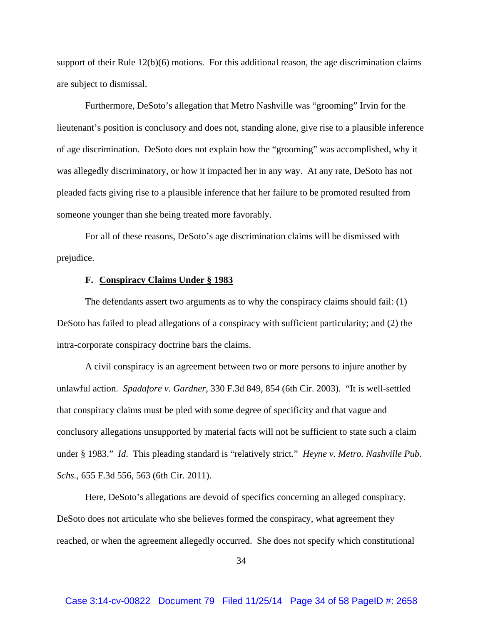support of their Rule 12(b)(6) motions. For this additional reason, the age discrimination claims are subject to dismissal.

Furthermore, DeSoto's allegation that Metro Nashville was "grooming" Irvin for the lieutenant's position is conclusory and does not, standing alone, give rise to a plausible inference of age discrimination. DeSoto does not explain how the "grooming" was accomplished, why it was allegedly discriminatory, or how it impacted her in any way. At any rate, DeSoto has not pleaded facts giving rise to a plausible inference that her failure to be promoted resulted from someone younger than she being treated more favorably.

For all of these reasons, DeSoto's age discrimination claims will be dismissed with prejudice.

### **F. Conspiracy Claims Under § 1983**

The defendants assert two arguments as to why the conspiracy claims should fail: (1) DeSoto has failed to plead allegations of a conspiracy with sufficient particularity; and (2) the intra-corporate conspiracy doctrine bars the claims.

A civil conspiracy is an agreement between two or more persons to injure another by unlawful action. *Spadafore v. Gardner*, 330 F.3d 849, 854 (6th Cir. 2003). "It is well-settled that conspiracy claims must be pled with some degree of specificity and that vague and conclusory allegations unsupported by material facts will not be sufficient to state such a claim under § 1983." *Id*. This pleading standard is "relatively strict." *Heyne v. Metro. Nashville Pub. Schs.*, 655 F.3d 556, 563 (6th Cir. 2011).

Here, DeSoto's allegations are devoid of specifics concerning an alleged conspiracy. DeSoto does not articulate who she believes formed the conspiracy, what agreement they reached, or when the agreement allegedly occurred. She does not specify which constitutional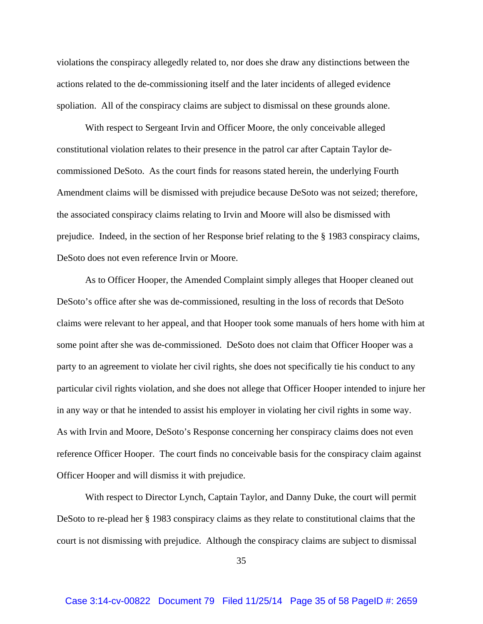violations the conspiracy allegedly related to, nor does she draw any distinctions between the actions related to the de-commissioning itself and the later incidents of alleged evidence spoliation. All of the conspiracy claims are subject to dismissal on these grounds alone.

With respect to Sergeant Irvin and Officer Moore, the only conceivable alleged constitutional violation relates to their presence in the patrol car after Captain Taylor decommissioned DeSoto. As the court finds for reasons stated herein, the underlying Fourth Amendment claims will be dismissed with prejudice because DeSoto was not seized; therefore, the associated conspiracy claims relating to Irvin and Moore will also be dismissed with prejudice. Indeed, in the section of her Response brief relating to the § 1983 conspiracy claims, DeSoto does not even reference Irvin or Moore.

As to Officer Hooper, the Amended Complaint simply alleges that Hooper cleaned out DeSoto's office after she was de-commissioned, resulting in the loss of records that DeSoto claims were relevant to her appeal, and that Hooper took some manuals of hers home with him at some point after she was de-commissioned. DeSoto does not claim that Officer Hooper was a party to an agreement to violate her civil rights, she does not specifically tie his conduct to any particular civil rights violation, and she does not allege that Officer Hooper intended to injure her in any way or that he intended to assist his employer in violating her civil rights in some way. As with Irvin and Moore, DeSoto's Response concerning her conspiracy claims does not even reference Officer Hooper. The court finds no conceivable basis for the conspiracy claim against Officer Hooper and will dismiss it with prejudice.

With respect to Director Lynch, Captain Taylor, and Danny Duke, the court will permit DeSoto to re-plead her § 1983 conspiracy claims as they relate to constitutional claims that the court is not dismissing with prejudice. Although the conspiracy claims are subject to dismissal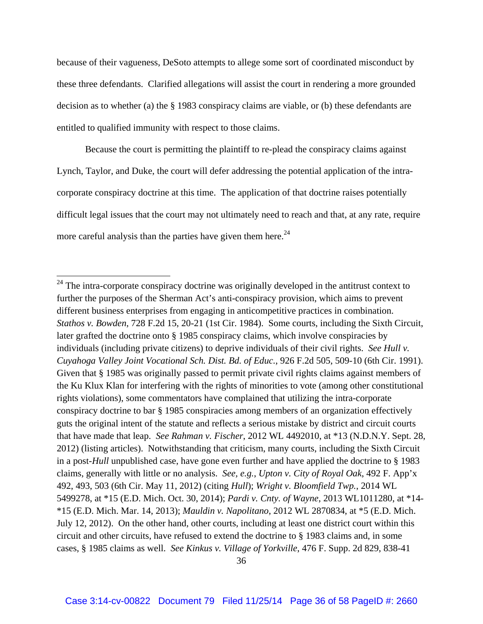because of their vagueness, DeSoto attempts to allege some sort of coordinated misconduct by these three defendants. Clarified allegations will assist the court in rendering a more grounded decision as to whether (a) the § 1983 conspiracy claims are viable, or (b) these defendants are entitled to qualified immunity with respect to those claims.

Because the court is permitting the plaintiff to re-plead the conspiracy claims against Lynch, Taylor, and Duke, the court will defer addressing the potential application of the intracorporate conspiracy doctrine at this time. The application of that doctrine raises potentially difficult legal issues that the court may not ultimately need to reach and that, at any rate, require more careful analysis than the parties have given them here.<sup>24</sup>

 $24$  The intra-corporate conspiracy doctrine was originally developed in the antitrust context to further the purposes of the Sherman Act's anti-conspiracy provision, which aims to prevent different business enterprises from engaging in anticompetitive practices in combination. *Stathos v. Bowden*, 728 F.2d 15, 20-21 (1st Cir. 1984). Some courts, including the Sixth Circuit, later grafted the doctrine onto § 1985 conspiracy claims, which involve conspiracies by individuals (including private citizens) to deprive individuals of their civil rights. *See Hull v. Cuyahoga Valley Joint Vocational Sch. Dist. Bd. of Educ.*, 926 F.2d 505, 509-10 (6th Cir. 1991). Given that § 1985 was originally passed to permit private civil rights claims against members of the Ku Klux Klan for interfering with the rights of minorities to vote (among other constitutional rights violations), some commentators have complained that utilizing the intra-corporate conspiracy doctrine to bar § 1985 conspiracies among members of an organization effectively guts the original intent of the statute and reflects a serious mistake by district and circuit courts that have made that leap. *See Rahman v. Fischer*, 2012 WL 4492010, at \*13 (N.D.N.Y. Sept. 28, 2012) (listing articles). Notwithstanding that criticism, many courts, including the Sixth Circuit in a post-*Hull* unpublished case, have gone even further and have applied the doctrine to § 1983 claims, generally with little or no analysis. *See, e.g.*, *Upton v. City of Royal Oak*, 492 F. App'x 492, 493, 503 (6th Cir. May 11, 2012) (citing *Hull*); *Wright v. Bloomfield Twp.*, 2014 WL 5499278, at \*15 (E.D. Mich. Oct. 30, 2014); *Pardi v. Cnty. of Wayne*, 2013 WL1011280, at \*14- \*15 (E.D. Mich. Mar. 14, 2013); *Mauldin v. Napolitano*, 2012 WL 2870834, at \*5 (E.D. Mich. July 12, 2012). On the other hand, other courts, including at least one district court within this circuit and other circuits, have refused to extend the doctrine to § 1983 claims and, in some cases, § 1985 claims as well. *See Kinkus v. Village of Yorkville*, 476 F. Supp. 2d 829, 838-41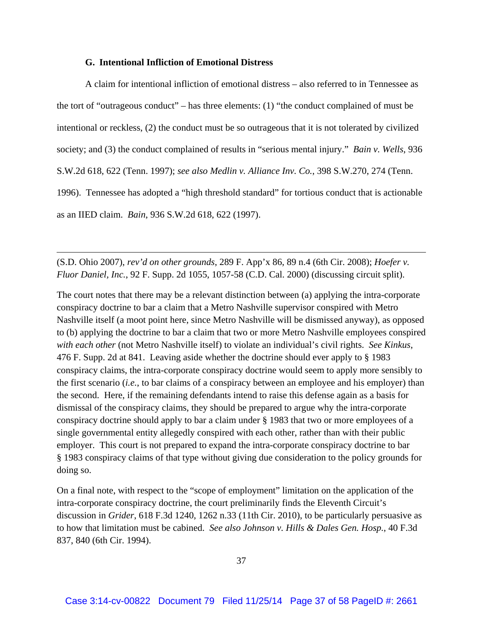### **G. Intentional Infliction of Emotional Distress**

A claim for intentional infliction of emotional distress – also referred to in Tennessee as the tort of "outrageous conduct" – has three elements: (1) "the conduct complained of must be intentional or reckless, (2) the conduct must be so outrageous that it is not tolerated by civilized society; and (3) the conduct complained of results in "serious mental injury." *Bain v. Wells*, 936 S.W.2d 618, 622 (Tenn. 1997); *see also Medlin v. Alliance Inv. Co.*, 398 S.W.270, 274 (Tenn. 1996). Tennessee has adopted a "high threshold standard" for tortious conduct that is actionable as an IIED claim. *Bain*, 936 S.W.2d 618, 622 (1997).

(S.D. Ohio 2007), *rev'd on other grounds*, 289 F. App'x 86, 89 n.4 (6th Cir. 2008); *Hoefer v. Fluor Daniel, Inc.*, 92 F. Supp. 2d 1055, 1057-58 (C.D. Cal. 2000) (discussing circuit split).

<u> 1989 - Johann Stein, marwolaethau a gweledydd a ganlad y ganlad y ganlad y ganlad y ganlad y ganlad y ganlad</u>

The court notes that there may be a relevant distinction between (a) applying the intra-corporate conspiracy doctrine to bar a claim that a Metro Nashville supervisor conspired with Metro Nashville itself (a moot point here, since Metro Nashville will be dismissed anyway), as opposed to (b) applying the doctrine to bar a claim that two or more Metro Nashville employees conspired *with each other* (not Metro Nashville itself) to violate an individual's civil rights. *See Kinkus*, 476 F. Supp. 2d at 841. Leaving aside whether the doctrine should ever apply to § 1983 conspiracy claims, the intra-corporate conspiracy doctrine would seem to apply more sensibly to the first scenario (*i.e.*, to bar claims of a conspiracy between an employee and his employer) than the second. Here, if the remaining defendants intend to raise this defense again as a basis for dismissal of the conspiracy claims, they should be prepared to argue why the intra-corporate conspiracy doctrine should apply to bar a claim under § 1983 that two or more employees of a single governmental entity allegedly conspired with each other, rather than with their public employer. This court is not prepared to expand the intra-corporate conspiracy doctrine to bar § 1983 conspiracy claims of that type without giving due consideration to the policy grounds for doing so.

On a final note, with respect to the "scope of employment" limitation on the application of the intra-corporate conspiracy doctrine, the court preliminarily finds the Eleventh Circuit's discussion in *Grider*, 618 F.3d 1240, 1262 n.33 (11th Cir. 2010), to be particularly persuasive as to how that limitation must be cabined. *See also Johnson v. Hills & Dales Gen. Hosp.*, 40 F.3d 837, 840 (6th Cir. 1994).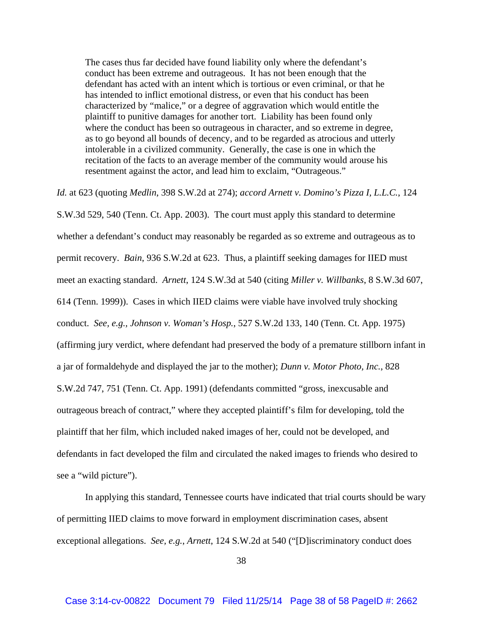The cases thus far decided have found liability only where the defendant's conduct has been extreme and outrageous. It has not been enough that the defendant has acted with an intent which is tortious or even criminal, or that he has intended to inflict emotional distress, or even that his conduct has been characterized by "malice," or a degree of aggravation which would entitle the plaintiff to punitive damages for another tort. Liability has been found only where the conduct has been so outrageous in character, and so extreme in degree, as to go beyond all bounds of decency, and to be regarded as atrocious and utterly intolerable in a civilized community. Generally, the case is one in which the recitation of the facts to an average member of the community would arouse his resentment against the actor, and lead him to exclaim, "Outrageous."

*Id.* at 623 (quoting *Medlin*, 398 S.W.2d at 274); *accord Arnett v. Domino's Pizza I, L.L.C.*, 124 S.W.3d 529, 540 (Tenn. Ct. App. 2003). The court must apply this standard to determine whether a defendant's conduct may reasonably be regarded as so extreme and outrageous as to permit recovery. *Bain*, 936 S.W.2d at 623. Thus, a plaintiff seeking damages for IIED must meet an exacting standard. *Arnett*, 124 S.W.3d at 540 (citing *Miller v. Willbanks*, 8 S.W.3d 607, 614 (Tenn. 1999)). Cases in which IIED claims were viable have involved truly shocking conduct. *See, e.g., Johnson v. Woman's Hosp.*, 527 S.W.2d 133, 140 (Tenn. Ct. App. 1975) (affirming jury verdict, where defendant had preserved the body of a premature stillborn infant in a jar of formaldehyde and displayed the jar to the mother); *Dunn v. Motor Photo, Inc.*, 828 S.W.2d 747, 751 (Tenn. Ct. App. 1991) (defendants committed "gross, inexcusable and outrageous breach of contract," where they accepted plaintiff's film for developing, told the plaintiff that her film, which included naked images of her, could not be developed, and defendants in fact developed the film and circulated the naked images to friends who desired to see a "wild picture").

 In applying this standard, Tennessee courts have indicated that trial courts should be wary of permitting IIED claims to move forward in employment discrimination cases, absent exceptional allegations. *See, e.g.*, *Arnett*, 124 S.W.2d at 540 ("[D]iscriminatory conduct does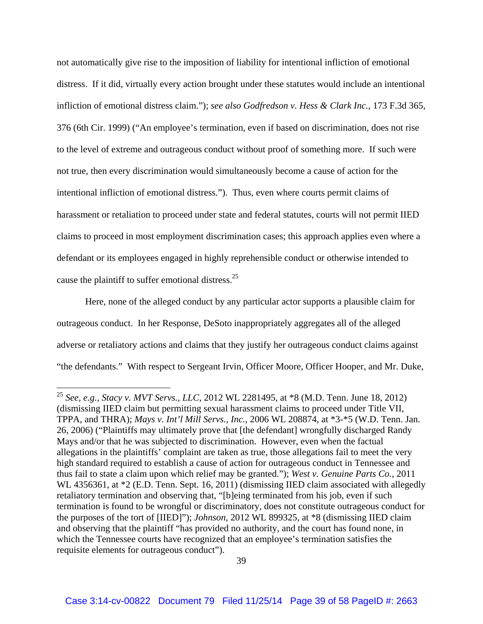not automatically give rise to the imposition of liability for intentional infliction of emotional distress. If it did, virtually every action brought under these statutes would include an intentional infliction of emotional distress claim."); *see also Godfredson v. Hess & Clark Inc.*, 173 F.3d 365, 376 (6th Cir. 1999) ("An employee's termination, even if based on discrimination, does not rise to the level of extreme and outrageous conduct without proof of something more. If such were not true, then every discrimination would simultaneously become a cause of action for the intentional infliction of emotional distress."). Thus, even where courts permit claims of harassment or retaliation to proceed under state and federal statutes, courts will not permit IIED claims to proceed in most employment discrimination cases; this approach applies even where a defendant or its employees engaged in highly reprehensible conduct or otherwise intended to cause the plaintiff to suffer emotional distress.25

Here, none of the alleged conduct by any particular actor supports a plausible claim for outrageous conduct. In her Response, DeSoto inappropriately aggregates all of the alleged adverse or retaliatory actions and claims that they justify her outrageous conduct claims against "the defendants." With respect to Sergeant Irvin, Officer Moore, Officer Hooper, and Mr. Duke,

<sup>25</sup> *See, e.g., Stacy v. MVT Servs., LLC*, 2012 WL 2281495, at \*8 (M.D. Tenn. June 18, 2012) (dismissing IIED claim but permitting sexual harassment claims to proceed under Title VII, TPPA, and THRA); *Mays v. Int'l Mill Servs., Inc.*, 2006 WL 208874, at \*3-\*5 (W.D. Tenn. Jan. 26, 2006) ("Plaintiffs may ultimately prove that [the defendant] wrongfully discharged Randy Mays and/or that he was subjected to discrimination. However, even when the factual allegations in the plaintiffs' complaint are taken as true, those allegations fail to meet the very high standard required to establish a cause of action for outrageous conduct in Tennessee and thus fail to state a claim upon which relief may be granted."); *West v. Genuine Parts Co.*, 2011 WL 4356361, at \*2 (E.D. Tenn. Sept. 16, 2011) (dismissing IIED claim associated with allegedly retaliatory termination and observing that, "[b]eing terminated from his job, even if such termination is found to be wrongful or discriminatory, does not constitute outrageous conduct for the purposes of the tort of [IIED]"); *Johnson*, 2012 WL 899325, at \*8 (dismissing IIED claim and observing that the plaintiff "has provided no authority, and the court has found none, in which the Tennessee courts have recognized that an employee's termination satisfies the requisite elements for outrageous conduct").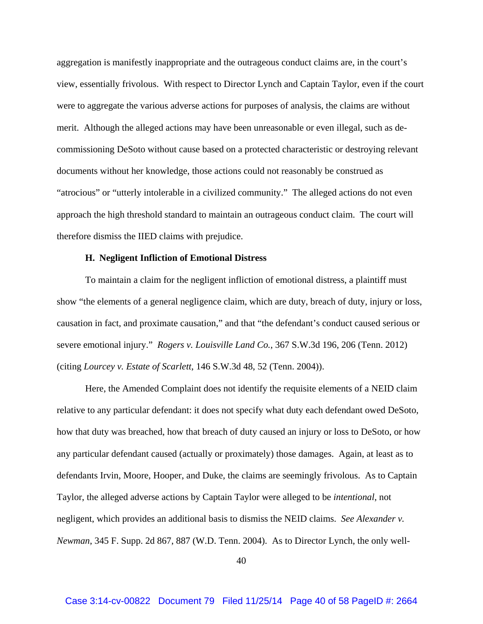aggregation is manifestly inappropriate and the outrageous conduct claims are, in the court's view, essentially frivolous. With respect to Director Lynch and Captain Taylor, even if the court were to aggregate the various adverse actions for purposes of analysis, the claims are without merit. Although the alleged actions may have been unreasonable or even illegal, such as decommissioning DeSoto without cause based on a protected characteristic or destroying relevant documents without her knowledge, those actions could not reasonably be construed as "atrocious" or "utterly intolerable in a civilized community." The alleged actions do not even approach the high threshold standard to maintain an outrageous conduct claim. The court will therefore dismiss the IIED claims with prejudice.

#### **H. Negligent Infliction of Emotional Distress**

To maintain a claim for the negligent infliction of emotional distress, a plaintiff must show "the elements of a general negligence claim, which are duty, breach of duty, injury or loss, causation in fact, and proximate causation," and that "the defendant's conduct caused serious or severe emotional injury." *Rogers v. Louisville Land Co.*, 367 S.W.3d 196, 206 (Tenn. 2012) (citing *Lourcey v. Estate of Scarlett*, 146 S.W.3d 48, 52 (Tenn. 2004)).

Here, the Amended Complaint does not identify the requisite elements of a NEID claim relative to any particular defendant: it does not specify what duty each defendant owed DeSoto, how that duty was breached, how that breach of duty caused an injury or loss to DeSoto, or how any particular defendant caused (actually or proximately) those damages. Again, at least as to defendants Irvin, Moore, Hooper, and Duke, the claims are seemingly frivolous. As to Captain Taylor, the alleged adverse actions by Captain Taylor were alleged to be *intentional*, not negligent, which provides an additional basis to dismiss the NEID claims. *See Alexander v. Newman*, 345 F. Supp. 2d 867, 887 (W.D. Tenn. 2004). As to Director Lynch, the only well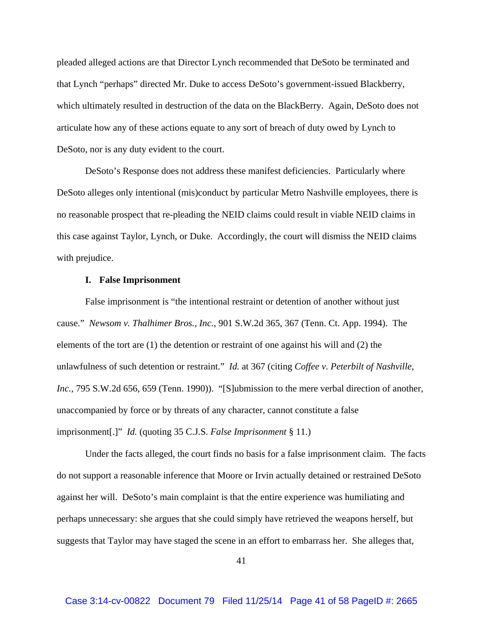pleaded alleged actions are that Director Lynch recommended that DeSoto be terminated and that Lynch "perhaps" directed Mr. Duke to access DeSoto's government-issued Blackberry, which ultimately resulted in destruction of the data on the BlackBerry. Again, DeSoto does not articulate how any of these actions equate to any sort of breach of duty owed by Lynch to DeSoto, nor is any duty evident to the court.

DeSoto's Response does not address these manifest deficiencies. Particularly where DeSoto alleges only intentional (mis)conduct by particular Metro Nashville employees, there is no reasonable prospect that re-pleading the NEID claims could result in viable NEID claims in this case against Taylor, Lynch, or Duke. Accordingly, the court will dismiss the NEID claims with prejudice.

### **I. False Imprisonment**

False imprisonment is "the intentional restraint or detention of another without just cause." *Newsom v. Thalhimer Bros., Inc.*, 901 S.W.2d 365, 367 (Tenn. Ct. App. 1994). The elements of the tort are (1) the detention or restraint of one against his will and (2) the unlawfulness of such detention or restraint." *Id.* at 367 (citing *Coffee v. Peterbilt of Nashville, Inc.*, 795 S.W.2d 656, 659 (Tenn. 1990)). "[S]ubmission to the mere verbal direction of another, unaccompanied by force or by threats of any character, cannot constitute a false imprisonment[.]" *Id.* (quoting 35 C.J.S. *False Imprisonment* § 11.)

Under the facts alleged, the court finds no basis for a false imprisonment claim. The facts do not support a reasonable inference that Moore or Irvin actually detained or restrained DeSoto against her will. DeSoto's main complaint is that the entire experience was humiliating and perhaps unnecessary: she argues that she could simply have retrieved the weapons herself, but suggests that Taylor may have staged the scene in an effort to embarrass her. She alleges that,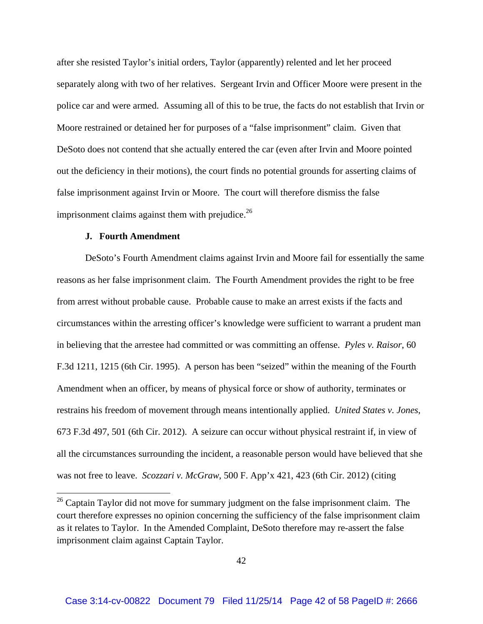after she resisted Taylor's initial orders, Taylor (apparently) relented and let her proceed separately along with two of her relatives. Sergeant Irvin and Officer Moore were present in the police car and were armed. Assuming all of this to be true, the facts do not establish that Irvin or Moore restrained or detained her for purposes of a "false imprisonment" claim. Given that DeSoto does not contend that she actually entered the car (even after Irvin and Moore pointed out the deficiency in their motions), the court finds no potential grounds for asserting claims of false imprisonment against Irvin or Moore. The court will therefore dismiss the false imprisonment claims against them with prejudice. $^{26}$ 

# **J. Fourth Amendment**

DeSoto's Fourth Amendment claims against Irvin and Moore fail for essentially the same reasons as her false imprisonment claim. The Fourth Amendment provides the right to be free from arrest without probable cause. Probable cause to make an arrest exists if the facts and circumstances within the arresting officer's knowledge were sufficient to warrant a prudent man in believing that the arrestee had committed or was committing an offense. *Pyles v. Raisor*, 60 F.3d 1211, 1215 (6th Cir. 1995). A person has been "seized" within the meaning of the Fourth Amendment when an officer, by means of physical force or show of authority, terminates or restrains his freedom of movement through means intentionally applied. *United States v. Jones*, 673 F.3d 497, 501 (6th Cir. 2012). A seizure can occur without physical restraint if, in view of all the circumstances surrounding the incident, a reasonable person would have believed that she was not free to leave. *Scozzari v. McGraw*, 500 F. App'x 421, 423 (6th Cir. 2012) (citing

 $26$  Captain Taylor did not move for summary judgment on the false imprisonment claim. The court therefore expresses no opinion concerning the sufficiency of the false imprisonment claim as it relates to Taylor. In the Amended Complaint, DeSoto therefore may re-assert the false imprisonment claim against Captain Taylor.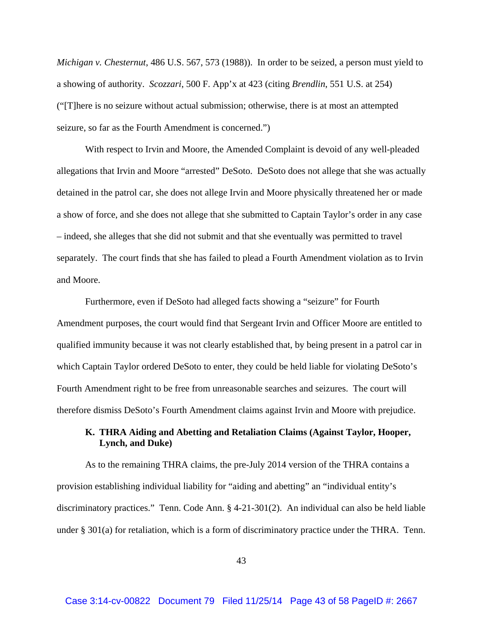*Michigan v. Chesternut*, 486 U.S. 567, 573 (1988)). In order to be seized, a person must yield to a showing of authority. *Scozzari*, 500 F. App'x at 423 (citing *Brendlin*, 551 U.S. at 254) ("[T]here is no seizure without actual submission; otherwise, there is at most an attempted seizure, so far as the Fourth Amendment is concerned.")

With respect to Irvin and Moore, the Amended Complaint is devoid of any well-pleaded allegations that Irvin and Moore "arrested" DeSoto. DeSoto does not allege that she was actually detained in the patrol car, she does not allege Irvin and Moore physically threatened her or made a show of force, and she does not allege that she submitted to Captain Taylor's order in any case – indeed, she alleges that she did not submit and that she eventually was permitted to travel separately. The court finds that she has failed to plead a Fourth Amendment violation as to Irvin and Moore.

Furthermore, even if DeSoto had alleged facts showing a "seizure" for Fourth Amendment purposes, the court would find that Sergeant Irvin and Officer Moore are entitled to qualified immunity because it was not clearly established that, by being present in a patrol car in which Captain Taylor ordered DeSoto to enter, they could be held liable for violating DeSoto's Fourth Amendment right to be free from unreasonable searches and seizures. The court will therefore dismiss DeSoto's Fourth Amendment claims against Irvin and Moore with prejudice.

# **K. THRA Aiding and Abetting and Retaliation Claims (Against Taylor, Hooper, Lynch, and Duke)**

As to the remaining THRA claims, the pre-July 2014 version of the THRA contains a provision establishing individual liability for "aiding and abetting" an "individual entity's discriminatory practices." Tenn. Code Ann. § 4-21-301(2). An individual can also be held liable under § 301(a) for retaliation, which is a form of discriminatory practice under the THRA. Tenn.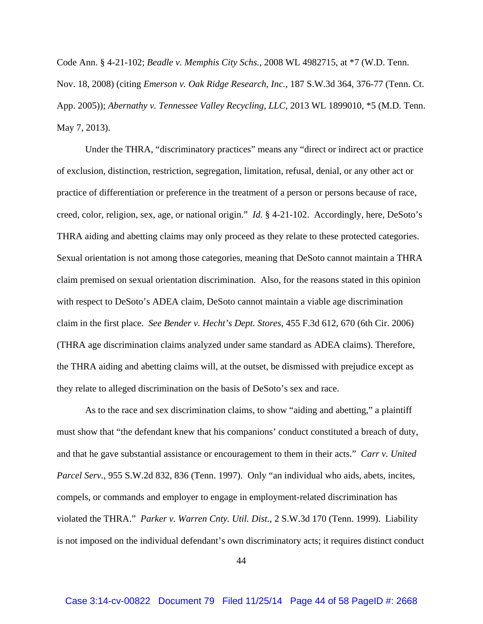Code Ann. § 4-21-102; *Beadle v. Memphis City Schs.*, 2008 WL 4982715, at \*7 (W.D. Tenn. Nov. 18, 2008) (citing *Emerson v. Oak Ridge Research, Inc.*, 187 S.W.3d 364, 376-77 (Tenn. Ct. App. 2005)); *Abernathy v. Tennessee Valley Recycling, LLC*, 2013 WL 1899010, \*5 (M.D. Tenn. May 7, 2013).

Under the THRA, "discriminatory practices" means any "direct or indirect act or practice of exclusion, distinction, restriction, segregation, limitation, refusal, denial, or any other act or practice of differentiation or preference in the treatment of a person or persons because of race, creed, color, religion, sex, age, or national origin." *Id.* § 4-21-102. Accordingly, here, DeSoto's THRA aiding and abetting claims may only proceed as they relate to these protected categories. Sexual orientation is not among those categories, meaning that DeSoto cannot maintain a THRA claim premised on sexual orientation discrimination. Also, for the reasons stated in this opinion with respect to DeSoto's ADEA claim, DeSoto cannot maintain a viable age discrimination claim in the first place. *See Bender v. Hecht's Dept. Stores*, 455 F.3d 612, 670 (6th Cir. 2006) (THRA age discrimination claims analyzed under same standard as ADEA claims). Therefore, the THRA aiding and abetting claims will, at the outset, be dismissed with prejudice except as they relate to alleged discrimination on the basis of DeSoto's sex and race.

As to the race and sex discrimination claims, to show "aiding and abetting," a plaintiff must show that "the defendant knew that his companions' conduct constituted a breach of duty, and that he gave substantial assistance or encouragement to them in their acts." *Carr v. United Parcel Serv.*, 955 S.W.2d 832, 836 (Tenn. 1997). Only "an individual who aids, abets, incites, compels, or commands and employer to engage in employment-related discrimination has violated the THRA." *Parker v. Warren Cnty. Util. Dist.*, 2 S.W.3d 170 (Tenn. 1999). Liability is not imposed on the individual defendant's own discriminatory acts; it requires distinct conduct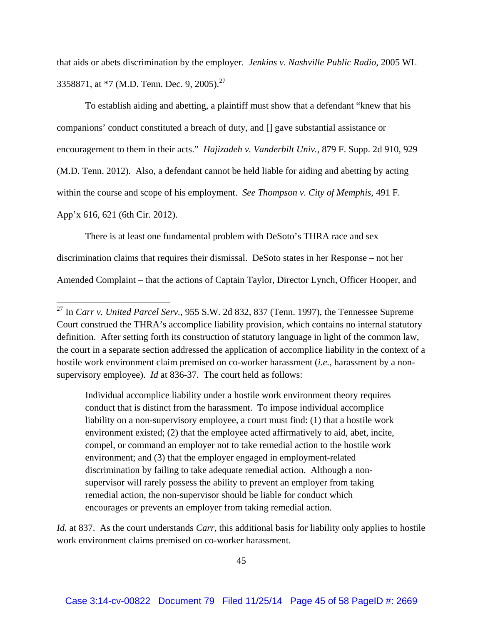that aids or abets discrimination by the employer. *Jenkins v. Nashville Public Radio*, 2005 WL 3358871, at \*7 (M.D. Tenn. Dec. 9, 2005).<sup>27</sup>

To establish aiding and abetting, a plaintiff must show that a defendant "knew that his companions' conduct constituted a breach of duty, and [] gave substantial assistance or encouragement to them in their acts." *Hajizadeh v. Vanderbilt Univ.*, 879 F. Supp. 2d 910, 929 (M.D. Tenn. 2012). Also, a defendant cannot be held liable for aiding and abetting by acting within the course and scope of his employment. *See Thompson v. City of Memphis*, 491 F. App'x 616, 621 (6th Cir. 2012).

There is at least one fundamental problem with DeSoto's THRA race and sex discrimination claims that requires their dismissal. DeSoto states in her Response – not her Amended Complaint – that the actions of Captain Taylor, Director Lynch, Officer Hooper, and

Individual accomplice liability under a hostile work environment theory requires conduct that is distinct from the harassment. To impose individual accomplice liability on a non-supervisory employee, a court must find: (1) that a hostile work environment existed; (2) that the employee acted affirmatively to aid, abet, incite, compel, or command an employer not to take remedial action to the hostile work environment; and (3) that the employer engaged in employment-related discrimination by failing to take adequate remedial action. Although a nonsupervisor will rarely possess the ability to prevent an employer from taking remedial action, the non-supervisor should be liable for conduct which encourages or prevents an employer from taking remedial action.

*Id.* at 837. As the court understands *Carr*, this additional basis for liability only applies to hostile work environment claims premised on co-worker harassment.

<sup>27</sup> In *Carr v. United Parcel Serv.*, 955 S.W. 2d 832, 837 (Tenn. 1997), the Tennessee Supreme Court construed the THRA's accomplice liability provision, which contains no internal statutory definition. After setting forth its construction of statutory language in light of the common law, the court in a separate section addressed the application of accomplice liability in the context of a hostile work environment claim premised on co-worker harassment (*i.e.*, harassment by a nonsupervisory employee). *Id* at 836-37. The court held as follows: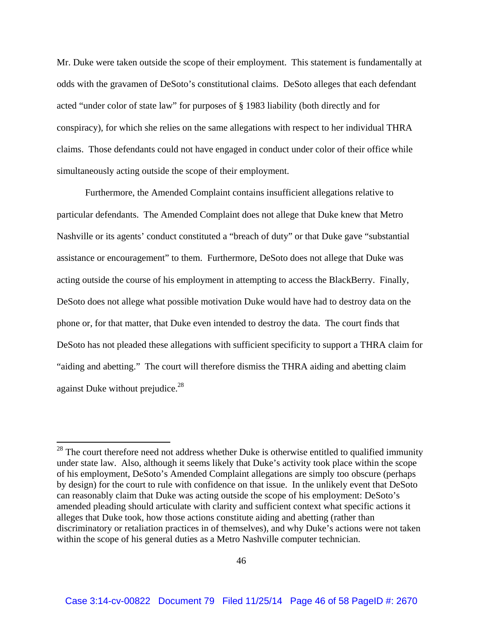Mr. Duke were taken outside the scope of their employment. This statement is fundamentally at odds with the gravamen of DeSoto's constitutional claims. DeSoto alleges that each defendant acted "under color of state law" for purposes of § 1983 liability (both directly and for conspiracy), for which she relies on the same allegations with respect to her individual THRA claims. Those defendants could not have engaged in conduct under color of their office while simultaneously acting outside the scope of their employment.

Furthermore, the Amended Complaint contains insufficient allegations relative to particular defendants. The Amended Complaint does not allege that Duke knew that Metro Nashville or its agents' conduct constituted a "breach of duty" or that Duke gave "substantial assistance or encouragement" to them. Furthermore, DeSoto does not allege that Duke was acting outside the course of his employment in attempting to access the BlackBerry. Finally, DeSoto does not allege what possible motivation Duke would have had to destroy data on the phone or, for that matter, that Duke even intended to destroy the data. The court finds that DeSoto has not pleaded these allegations with sufficient specificity to support a THRA claim for "aiding and abetting." The court will therefore dismiss the THRA aiding and abetting claim against Duke without prejudice.<sup>28</sup>

 $28$  The court therefore need not address whether Duke is otherwise entitled to qualified immunity under state law. Also, although it seems likely that Duke's activity took place within the scope of his employment, DeSoto's Amended Complaint allegations are simply too obscure (perhaps by design) for the court to rule with confidence on that issue. In the unlikely event that DeSoto can reasonably claim that Duke was acting outside the scope of his employment: DeSoto's amended pleading should articulate with clarity and sufficient context what specific actions it alleges that Duke took, how those actions constitute aiding and abetting (rather than discriminatory or retaliation practices in of themselves), and why Duke's actions were not taken within the scope of his general duties as a Metro Nashville computer technician.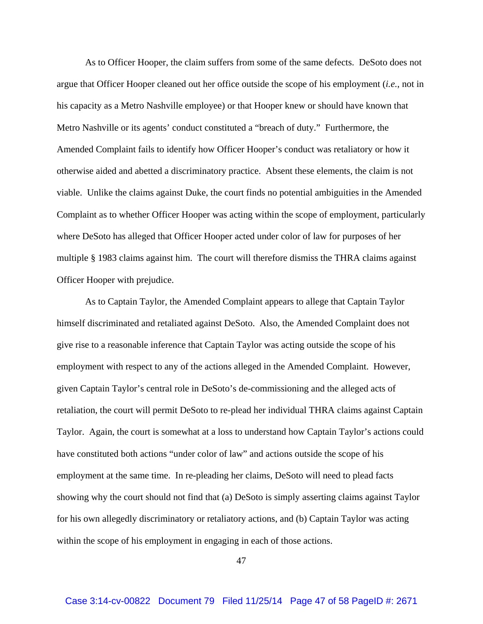As to Officer Hooper, the claim suffers from some of the same defects. DeSoto does not argue that Officer Hooper cleaned out her office outside the scope of his employment (*i.e.*, not in his capacity as a Metro Nashville employee) or that Hooper knew or should have known that Metro Nashville or its agents' conduct constituted a "breach of duty." Furthermore, the Amended Complaint fails to identify how Officer Hooper's conduct was retaliatory or how it otherwise aided and abetted a discriminatory practice. Absent these elements, the claim is not viable. Unlike the claims against Duke, the court finds no potential ambiguities in the Amended Complaint as to whether Officer Hooper was acting within the scope of employment, particularly where DeSoto has alleged that Officer Hooper acted under color of law for purposes of her multiple § 1983 claims against him. The court will therefore dismiss the THRA claims against Officer Hooper with prejudice.

As to Captain Taylor, the Amended Complaint appears to allege that Captain Taylor himself discriminated and retaliated against DeSoto. Also, the Amended Complaint does not give rise to a reasonable inference that Captain Taylor was acting outside the scope of his employment with respect to any of the actions alleged in the Amended Complaint. However, given Captain Taylor's central role in DeSoto's de-commissioning and the alleged acts of retaliation, the court will permit DeSoto to re-plead her individual THRA claims against Captain Taylor. Again, the court is somewhat at a loss to understand how Captain Taylor's actions could have constituted both actions "under color of law" and actions outside the scope of his employment at the same time. In re-pleading her claims, DeSoto will need to plead facts showing why the court should not find that (a) DeSoto is simply asserting claims against Taylor for his own allegedly discriminatory or retaliatory actions, and (b) Captain Taylor was acting within the scope of his employment in engaging in each of those actions.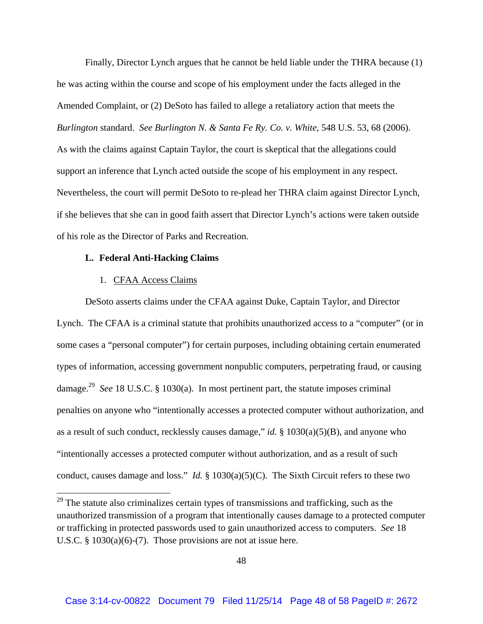Finally, Director Lynch argues that he cannot be held liable under the THRA because (1) he was acting within the course and scope of his employment under the facts alleged in the Amended Complaint, or (2) DeSoto has failed to allege a retaliatory action that meets the *Burlington* standard. *See Burlington N. & Santa Fe Ry. Co. v. White*, 548 U.S. 53, 68 (2006). As with the claims against Captain Taylor, the court is skeptical that the allegations could support an inference that Lynch acted outside the scope of his employment in any respect. Nevertheless, the court will permit DeSoto to re-plead her THRA claim against Director Lynch, if she believes that she can in good faith assert that Director Lynch's actions were taken outside of his role as the Director of Parks and Recreation.

#### **L. Federal Anti-Hacking Claims**

### 1. CFAA Access Claims

DeSoto asserts claims under the CFAA against Duke, Captain Taylor, and Director Lynch. The CFAA is a criminal statute that prohibits unauthorized access to a "computer" (or in some cases a "personal computer") for certain purposes, including obtaining certain enumerated types of information, accessing government nonpublic computers, perpetrating fraud, or causing damage.29 *See* 18 U.S.C. § 1030(a). In most pertinent part, the statute imposes criminal penalties on anyone who "intentionally accesses a protected computer without authorization, and as a result of such conduct, recklessly causes damage," *id.* § 1030(a)(5)(B), and anyone who "intentionally accesses a protected computer without authorization, and as a result of such conduct, causes damage and loss." *Id.* § 1030(a)(5)(C). The Sixth Circuit refers to these two

 $29$  The statute also criminalizes certain types of transmissions and trafficking, such as the unauthorized transmission of a program that intentionally causes damage to a protected computer or trafficking in protected passwords used to gain unauthorized access to computers. *See* 18 U.S.C. § 1030(a)(6)-(7). Those provisions are not at issue here.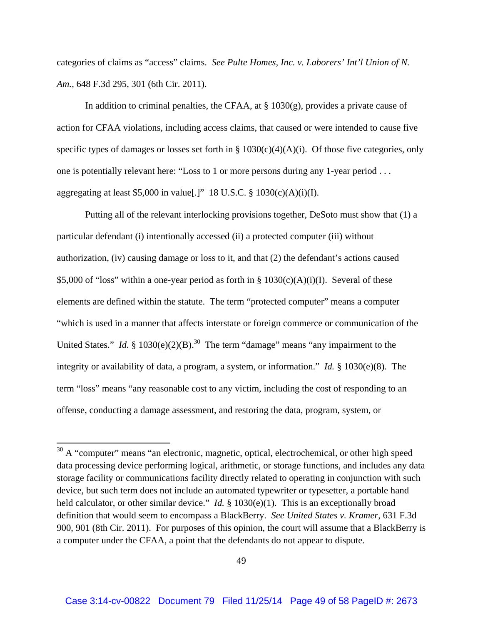categories of claims as "access" claims. *See Pulte Homes, Inc. v. Laborers' Int'l Union of N. Am.*, 648 F.3d 295, 301 (6th Cir. 2011).

In addition to criminal penalties, the CFAA, at  $\S 1030(g)$ , provides a private cause of action for CFAA violations, including access claims, that caused or were intended to cause five specific types of damages or losses set forth in  $\S 1030(c)(4)(A)(i)$ . Of those five categories, only one is potentially relevant here: "Loss to 1 or more persons during any 1-year period . . . aggregating at least \$5,000 in value[.]" 18 U.S.C.  $\S$  1030(c)(A)(i)(I).

Putting all of the relevant interlocking provisions together, DeSoto must show that (1) a particular defendant (i) intentionally accessed (ii) a protected computer (iii) without authorization, (iv) causing damage or loss to it, and that (2) the defendant's actions caused \$5,000 of "loss" within a one-year period as forth in  $\S 1030(c)(A)(i)(I)$ . Several of these elements are defined within the statute. The term "protected computer" means a computer "which is used in a manner that affects interstate or foreign commerce or communication of the United States." *Id.* § 1030(e)(2)(B).<sup>30</sup> The term "damage" means "any impairment to the integrity or availability of data, a program, a system, or information." *Id.* § 1030(e)(8). The term "loss" means "any reasonable cost to any victim, including the cost of responding to an offense, conducting a damage assessment, and restoring the data, program, system, or

 $30$  A "computer" means "an electronic, magnetic, optical, electrochemical, or other high speed data processing device performing logical, arithmetic, or storage functions, and includes any data storage facility or communications facility directly related to operating in conjunction with such device, but such term does not include an automated typewriter or typesetter, a portable hand held calculator, or other similar device." *Id.* § 1030(e)(1). This is an exceptionally broad definition that would seem to encompass a BlackBerry. *See United States v. Kramer*, 631 F.3d 900, 901 (8th Cir. 2011). For purposes of this opinion, the court will assume that a BlackBerry is a computer under the CFAA, a point that the defendants do not appear to dispute.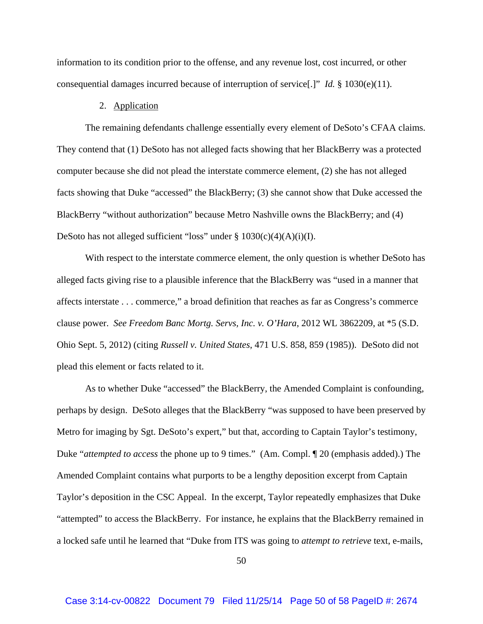information to its condition prior to the offense, and any revenue lost, cost incurred, or other consequential damages incurred because of interruption of service[.]" *Id.* § 1030(e)(11).

### 2. Application

The remaining defendants challenge essentially every element of DeSoto's CFAA claims. They contend that (1) DeSoto has not alleged facts showing that her BlackBerry was a protected computer because she did not plead the interstate commerce element, (2) she has not alleged facts showing that Duke "accessed" the BlackBerry; (3) she cannot show that Duke accessed the BlackBerry "without authorization" because Metro Nashville owns the BlackBerry; and (4) DeSoto has not alleged sufficient "loss" under  $\S 1030(c)(4)(A)(i)(I)$ .

With respect to the interstate commerce element, the only question is whether DeSoto has alleged facts giving rise to a plausible inference that the BlackBerry was "used in a manner that affects interstate . . . commerce," a broad definition that reaches as far as Congress's commerce clause power. *See Freedom Banc Mortg. Servs, Inc. v. O'Hara*, 2012 WL 3862209, at \*5 (S.D. Ohio Sept. 5, 2012) (citing *Russell v. United States*, 471 U.S. 858, 859 (1985)). DeSoto did not plead this element or facts related to it.

As to whether Duke "accessed" the BlackBerry, the Amended Complaint is confounding, perhaps by design. DeSoto alleges that the BlackBerry "was supposed to have been preserved by Metro for imaging by Sgt. DeSoto's expert," but that, according to Captain Taylor's testimony, Duke "*attempted to access* the phone up to 9 times." (Am. Compl. ¶ 20 (emphasis added).) The Amended Complaint contains what purports to be a lengthy deposition excerpt from Captain Taylor's deposition in the CSC Appeal. In the excerpt, Taylor repeatedly emphasizes that Duke "attempted" to access the BlackBerry. For instance, he explains that the BlackBerry remained in a locked safe until he learned that "Duke from ITS was going to *attempt to retrieve* text, e-mails,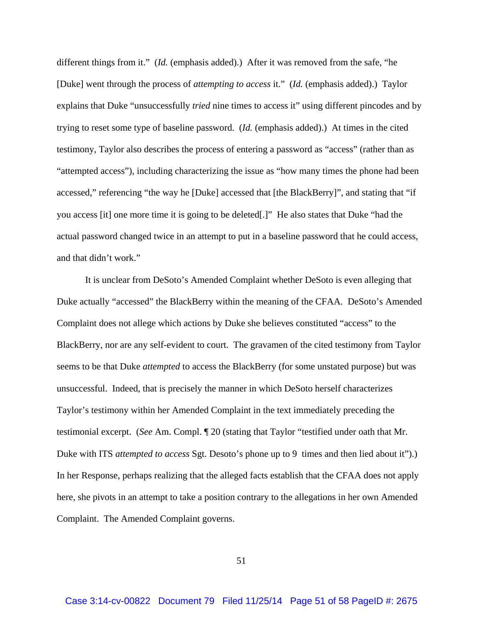different things from it." (*Id.* (emphasis added).) After it was removed from the safe, "he [Duke] went through the process of *attempting to access* it." (*Id.* (emphasis added).) Taylor explains that Duke "unsuccessfully *tried* nine times to access it" using different pincodes and by trying to reset some type of baseline password. (*Id.* (emphasis added).) At times in the cited testimony, Taylor also describes the process of entering a password as "access" (rather than as "attempted access"), including characterizing the issue as "how many times the phone had been accessed," referencing "the way he [Duke] accessed that [the BlackBerry]", and stating that "if you access [it] one more time it is going to be deleted[.]" He also states that Duke "had the actual password changed twice in an attempt to put in a baseline password that he could access, and that didn't work."

It is unclear from DeSoto's Amended Complaint whether DeSoto is even alleging that Duke actually "accessed" the BlackBerry within the meaning of the CFAA. DeSoto's Amended Complaint does not allege which actions by Duke she believes constituted "access" to the BlackBerry, nor are any self-evident to court. The gravamen of the cited testimony from Taylor seems to be that Duke *attempted* to access the BlackBerry (for some unstated purpose) but was unsuccessful. Indeed, that is precisely the manner in which DeSoto herself characterizes Taylor's testimony within her Amended Complaint in the text immediately preceding the testimonial excerpt. (*See* Am. Compl. ¶ 20 (stating that Taylor "testified under oath that Mr. Duke with ITS *attempted to access* Sgt. Desoto's phone up to 9 times and then lied about it").) In her Response, perhaps realizing that the alleged facts establish that the CFAA does not apply here, she pivots in an attempt to take a position contrary to the allegations in her own Amended Complaint. The Amended Complaint governs.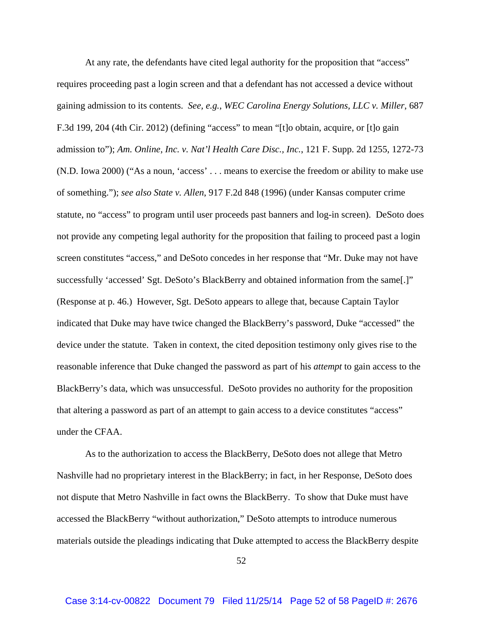At any rate, the defendants have cited legal authority for the proposition that "access" requires proceeding past a login screen and that a defendant has not accessed a device without gaining admission to its contents. *See, e.g.*, *WEC Carolina Energy Solutions, LLC v. Miller*, 687 F.3d 199, 204 (4th Cir. 2012) (defining "access" to mean "[t]o obtain, acquire, or [t]o gain admission to"); *Am. Online, Inc. v. Nat'l Health Care Disc., Inc.*, 121 F. Supp. 2d 1255, 1272-73 (N.D. Iowa 2000) ("As a noun, 'access' . . . means to exercise the freedom or ability to make use of something."); *see also State v. Allen*, 917 F.2d 848 (1996) (under Kansas computer crime statute, no "access" to program until user proceeds past banners and log-in screen). DeSoto does not provide any competing legal authority for the proposition that failing to proceed past a login screen constitutes "access," and DeSoto concedes in her response that "Mr. Duke may not have successfully 'accessed' Sgt. DeSoto's BlackBerry and obtained information from the same[.]" (Response at p. 46.) However, Sgt. DeSoto appears to allege that, because Captain Taylor indicated that Duke may have twice changed the BlackBerry's password, Duke "accessed" the device under the statute. Taken in context, the cited deposition testimony only gives rise to the reasonable inference that Duke changed the password as part of his *attempt* to gain access to the BlackBerry's data, which was unsuccessful. DeSoto provides no authority for the proposition that altering a password as part of an attempt to gain access to a device constitutes "access" under the CFAA.

As to the authorization to access the BlackBerry, DeSoto does not allege that Metro Nashville had no proprietary interest in the BlackBerry; in fact, in her Response, DeSoto does not dispute that Metro Nashville in fact owns the BlackBerry. To show that Duke must have accessed the BlackBerry "without authorization," DeSoto attempts to introduce numerous materials outside the pleadings indicating that Duke attempted to access the BlackBerry despite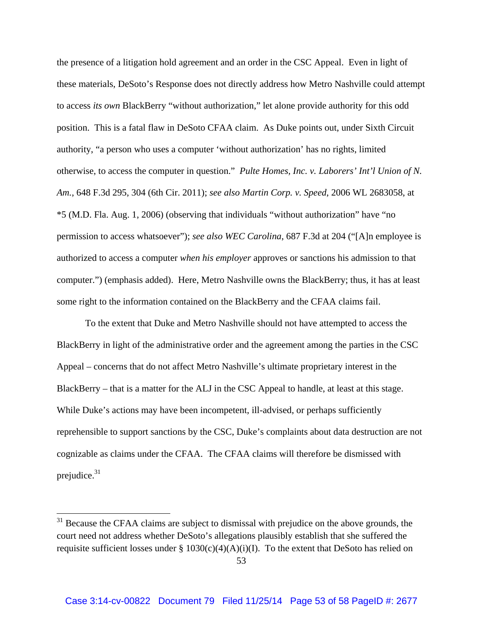the presence of a litigation hold agreement and an order in the CSC Appeal. Even in light of these materials, DeSoto's Response does not directly address how Metro Nashville could attempt to access *its own* BlackBerry "without authorization," let alone provide authority for this odd position. This is a fatal flaw in DeSoto CFAA claim. As Duke points out, under Sixth Circuit authority, "a person who uses a computer 'without authorization' has no rights, limited otherwise, to access the computer in question." *Pulte Homes, Inc. v. Laborers' Int'l Union of N. Am.*, 648 F.3d 295, 304 (6th Cir. 2011); *see also Martin Corp. v. Speed*, 2006 WL 2683058, at \*5 (M.D. Fla. Aug. 1, 2006) (observing that individuals "without authorization" have "no permission to access whatsoever"); *see also WEC Carolina*, 687 F.3d at 204 ("[A]n employee is authorized to access a computer *when his employer* approves or sanctions his admission to that computer.") (emphasis added). Here, Metro Nashville owns the BlackBerry; thus, it has at least some right to the information contained on the BlackBerry and the CFAA claims fail.

To the extent that Duke and Metro Nashville should not have attempted to access the BlackBerry in light of the administrative order and the agreement among the parties in the CSC Appeal – concerns that do not affect Metro Nashville's ultimate proprietary interest in the BlackBerry – that is a matter for the ALJ in the CSC Appeal to handle, at least at this stage. While Duke's actions may have been incompetent, ill-advised, or perhaps sufficiently reprehensible to support sanctions by the CSC, Duke's complaints about data destruction are not cognizable as claims under the CFAA. The CFAA claims will therefore be dismissed with prejudice. $31$ 

 $31$  Because the CFAA claims are subject to dismissal with prejudice on the above grounds, the court need not address whether DeSoto's allegations plausibly establish that she suffered the requisite sufficient losses under  $\S 1030(c)(4)(A)(i)(I)$ . To the extent that DeSoto has relied on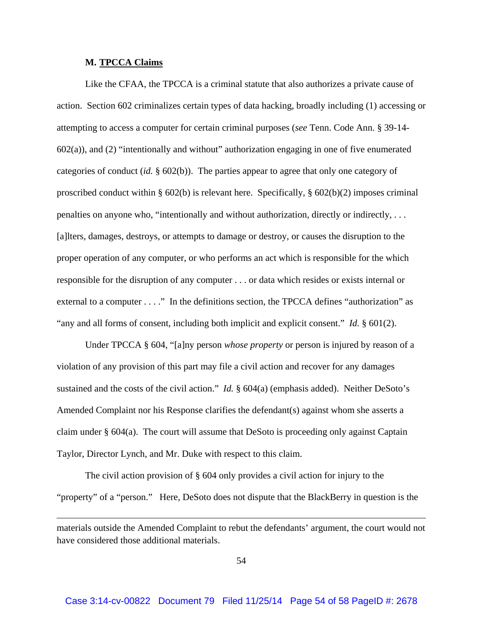#### **M. TPCCA Claims**

Like the CFAA, the TPCCA is a criminal statute that also authorizes a private cause of action. Section 602 criminalizes certain types of data hacking, broadly including (1) accessing or attempting to access a computer for certain criminal purposes (*see* Tenn. Code Ann. § 39-14- 602(a)), and (2) "intentionally and without" authorization engaging in one of five enumerated categories of conduct (*id.* § 602(b)). The parties appear to agree that only one category of proscribed conduct within § 602(b) is relevant here. Specifically, § 602(b)(2) imposes criminal penalties on anyone who, "intentionally and without authorization, directly or indirectly, . . . [a]lters, damages, destroys, or attempts to damage or destroy, or causes the disruption to the proper operation of any computer, or who performs an act which is responsible for the which responsible for the disruption of any computer . . . or data which resides or exists internal or external to a computer . . . ." In the definitions section, the TPCCA defines "authorization" as "any and all forms of consent, including both implicit and explicit consent." *Id.* § 601(2).

Under TPCCA § 604, "[a]ny person *whose property* or person is injured by reason of a violation of any provision of this part may file a civil action and recover for any damages sustained and the costs of the civil action." *Id.* § 604(a) (emphasis added). Neither DeSoto's Amended Complaint nor his Response clarifies the defendant(s) against whom she asserts a claim under § 604(a). The court will assume that DeSoto is proceeding only against Captain Taylor, Director Lynch, and Mr. Duke with respect to this claim.

 The civil action provision of § 604 only provides a civil action for injury to the "property" of a "person." Here, DeSoto does not dispute that the BlackBerry in question is the

<u> 1989 - Johann Stoff, amerikansk politiker (d. 1989)</u>

materials outside the Amended Complaint to rebut the defendants' argument, the court would not have considered those additional materials.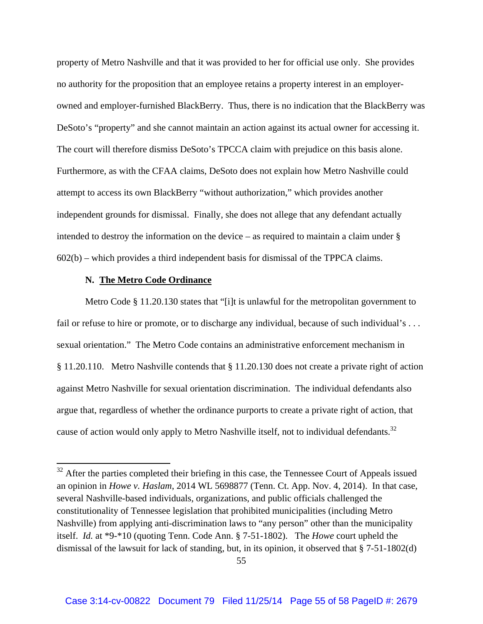property of Metro Nashville and that it was provided to her for official use only. She provides no authority for the proposition that an employee retains a property interest in an employerowned and employer-furnished BlackBerry. Thus, there is no indication that the BlackBerry was DeSoto's "property" and she cannot maintain an action against its actual owner for accessing it. The court will therefore dismiss DeSoto's TPCCA claim with prejudice on this basis alone. Furthermore, as with the CFAA claims, DeSoto does not explain how Metro Nashville could attempt to access its own BlackBerry "without authorization," which provides another independent grounds for dismissal. Finally, she does not allege that any defendant actually intended to destroy the information on the device – as required to maintain a claim under § 602(b) – which provides a third independent basis for dismissal of the TPPCA claims.

### **N. The Metro Code Ordinance**

Metro Code § 11.20.130 states that "[i]t is unlawful for the metropolitan government to fail or refuse to hire or promote, or to discharge any individual, because of such individual's ... sexual orientation." The Metro Code contains an administrative enforcement mechanism in § 11.20.110. Metro Nashville contends that § 11.20.130 does not create a private right of action against Metro Nashville for sexual orientation discrimination. The individual defendants also argue that, regardless of whether the ordinance purports to create a private right of action, that cause of action would only apply to Metro Nashville itself, not to individual defendants.<sup>32</sup>

 $32$  After the parties completed their briefing in this case, the Tennessee Court of Appeals issued an opinion in *Howe v. Haslam*, 2014 WL 5698877 (Tenn. Ct. App. Nov. 4, 2014). In that case, several Nashville-based individuals, organizations, and public officials challenged the constitutionality of Tennessee legislation that prohibited municipalities (including Metro Nashville) from applying anti-discrimination laws to "any person" other than the municipality itself. *Id.* at \*9-\*10 (quoting Tenn. Code Ann. § 7-51-1802). The *Howe* court upheld the dismissal of the lawsuit for lack of standing, but, in its opinion, it observed that § 7-51-1802(d)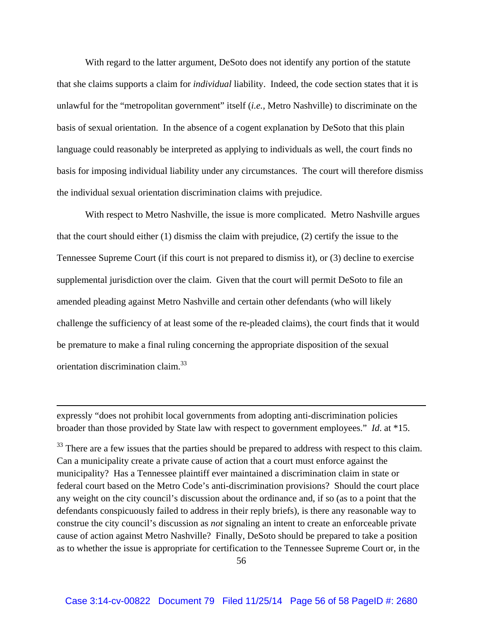With regard to the latter argument, DeSoto does not identify any portion of the statute that she claims supports a claim for *individual* liability. Indeed, the code section states that it is unlawful for the "metropolitan government" itself (*i.e.*, Metro Nashville) to discriminate on the basis of sexual orientation. In the absence of a cogent explanation by DeSoto that this plain language could reasonably be interpreted as applying to individuals as well, the court finds no basis for imposing individual liability under any circumstances. The court will therefore dismiss the individual sexual orientation discrimination claims with prejudice.

With respect to Metro Nashville, the issue is more complicated. Metro Nashville argues that the court should either (1) dismiss the claim with prejudice, (2) certify the issue to the Tennessee Supreme Court (if this court is not prepared to dismiss it), or (3) decline to exercise supplemental jurisdiction over the claim. Given that the court will permit DeSoto to file an amended pleading against Metro Nashville and certain other defendants (who will likely challenge the sufficiency of at least some of the re-pleaded claims), the court finds that it would be premature to make a final ruling concerning the appropriate disposition of the sexual orientation discrimination claim.33

expressly "does not prohibit local governments from adopting anti-discrimination policies broader than those provided by State law with respect to government employees." *Id*. at \*15.

<u> 1989 - Johann Stein, marwolaethau a gweledydd a ganlad y ganlad y ganlad y ganlad y ganlad y ganlad y ganlad</u>

<sup>33</sup> There are a few issues that the parties should be prepared to address with respect to this claim. Can a municipality create a private cause of action that a court must enforce against the municipality? Has a Tennessee plaintiff ever maintained a discrimination claim in state or federal court based on the Metro Code's anti-discrimination provisions? Should the court place any weight on the city council's discussion about the ordinance and, if so (as to a point that the defendants conspicuously failed to address in their reply briefs), is there any reasonable way to construe the city council's discussion as *not* signaling an intent to create an enforceable private cause of action against Metro Nashville? Finally, DeSoto should be prepared to take a position as to whether the issue is appropriate for certification to the Tennessee Supreme Court or, in the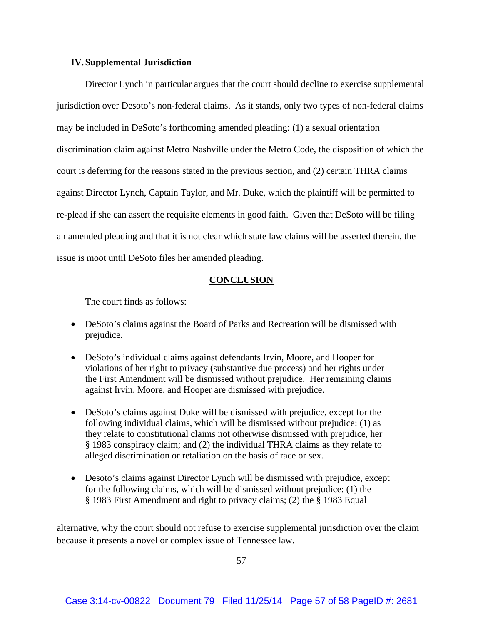### **IV. Supplemental Jurisdiction**

Director Lynch in particular argues that the court should decline to exercise supplemental jurisdiction over Desoto's non-federal claims. As it stands, only two types of non-federal claims may be included in DeSoto's forthcoming amended pleading: (1) a sexual orientation discrimination claim against Metro Nashville under the Metro Code, the disposition of which the court is deferring for the reasons stated in the previous section, and (2) certain THRA claims against Director Lynch, Captain Taylor, and Mr. Duke, which the plaintiff will be permitted to re-plead if she can assert the requisite elements in good faith. Given that DeSoto will be filing an amended pleading and that it is not clear which state law claims will be asserted therein, the issue is moot until DeSoto files her amended pleading.

### **CONCLUSION**

The court finds as follows:

- DeSoto's claims against the Board of Parks and Recreation will be dismissed with prejudice.
- DeSoto's individual claims against defendants Irvin, Moore, and Hooper for violations of her right to privacy (substantive due process) and her rights under the First Amendment will be dismissed without prejudice. Her remaining claims against Irvin, Moore, and Hooper are dismissed with prejudice.
- DeSoto's claims against Duke will be dismissed with prejudice, except for the following individual claims, which will be dismissed without prejudice: (1) as they relate to constitutional claims not otherwise dismissed with prejudice, her § 1983 conspiracy claim; and (2) the individual THRA claims as they relate to alleged discrimination or retaliation on the basis of race or sex.
- Desoto's claims against Director Lynch will be dismissed with prejudice, except for the following claims, which will be dismissed without prejudice: (1) the § 1983 First Amendment and right to privacy claims; (2) the § 1983 Equal

alternative, why the court should not refuse to exercise supplemental jurisdiction over the claim because it presents a novel or complex issue of Tennessee law.

<u> 1989 - Johann Stoff, amerikansk politiker (d. 1989)</u>